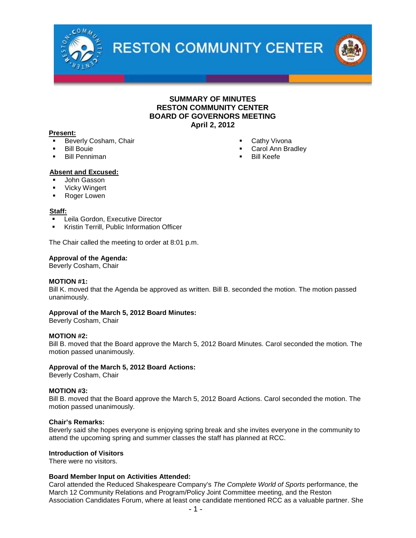

**RESTON COMMUNITY CENTER** 



#### **SUMMARY OF MINUTES RESTON COMMUNITY CENTER BOARD OF GOVERNORS MEETING April 2, 2012**

#### **Present:**

- Beverly Cosham, Chair
- Bill Bouie
- Bill Penniman

Carol Ann Bradley

Cathy Vivona

Bill Keefe

#### **Absent and Excused:**

- John Gasson
- **•** Vicky Wingert
- Roger Lowen

#### **Staff:**

- Leila Gordon, Executive Director
- Kristin Terrill, Public Information Officer

The Chair called the meeting to order at 8:01 p.m.

#### **Approval of the Agenda:**

Beverly Cosham, Chair

#### **MOTION #1:**

Bill K. moved that the Agenda be approved as written. Bill B. seconded the motion. The motion passed unanimously.

#### **Approval of the March 5, 2012 Board Minutes:**

Beverly Cosham, Chair

#### **MOTION #2:**

Bill B. moved that the Board approve the March 5, 2012 Board Minutes. Carol seconded the motion. The motion passed unanimously.

#### **Approval of the March 5, 2012 Board Actions:**

Beverly Cosham, Chair

#### **MOTION #3:**

Bill B. moved that the Board approve the March 5, 2012 Board Actions. Carol seconded the motion. The motion passed unanimously.

#### **Chair's Remarks:**

Beverly said she hopes everyone is enjoying spring break and she invites everyone in the community to attend the upcoming spring and summer classes the staff has planned at RCC.

#### **Introduction of Visitors**

There were no visitors.

#### **Board Member Input on Activities Attended:**

Carol attended the Reduced Shakespeare Company's *The Complete World of Sports* performance, the March 12 Community Relations and Program/Policy Joint Committee meeting, and the Reston Association Candidates Forum, where at least one candidate mentioned RCC as a valuable partner. She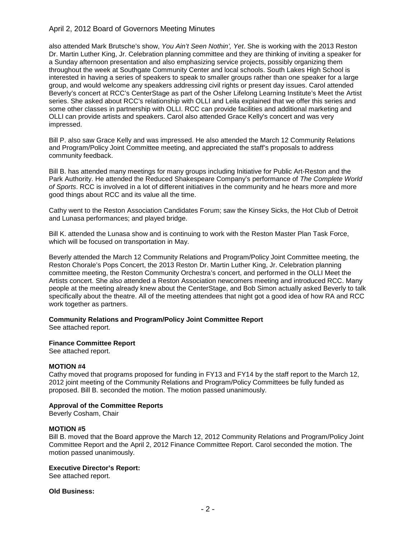#### April 2, 2012 Board of Governors Meeting Minutes

also attended Mark Brutsche's show, *You Ain't Seen Nothin', Yet*. She is working with the 2013 Reston Dr. Martin Luther King, Jr. Celebration planning committee and they are thinking of inviting a speaker for a Sunday afternoon presentation and also emphasizing service projects, possibly organizing them throughout the week at Southgate Community Center and local schools. South Lakes High School is interested in having a series of speakers to speak to smaller groups rather than one speaker for a large group, and would welcome any speakers addressing civil rights or present day issues. Carol attended Beverly's concert at RCC's CenterStage as part of the Osher Lifelong Learning Institute's Meet the Artist series. She asked about RCC's relationship with OLLI and Leila explained that we offer this series and some other classes in partnership with OLLI. RCC can provide facilities and additional marketing and OLLI can provide artists and speakers. Carol also attended Grace Kelly's concert and was very impressed.

Bill P. also saw Grace Kelly and was impressed. He also attended the March 12 Community Relations and Program/Policy Joint Committee meeting, and appreciated the staff's proposals to address community feedback.

Bill B. has attended many meetings for many groups including Initiative for Public Art-Reston and the Park Authority. He attended the Reduced Shakespeare Company's performance of *The Complete World of Sports*. RCC is involved in a lot of different initiatives in the community and he hears more and more good things about RCC and its value all the time.

Cathy went to the Reston Association Candidates Forum; saw the Kinsey Sicks, the Hot Club of Detroit and Lunasa performances; and played bridge.

Bill K. attended the Lunasa show and is continuing to work with the Reston Master Plan Task Force, which will be focused on transportation in May.

Beverly attended the March 12 Community Relations and Program/Policy Joint Committee meeting, the Reston Chorale's Pops Concert, the 2013 Reston Dr. Martin Luther King, Jr. Celebration planning committee meeting, the Reston Community Orchestra's concert, and performed in the OLLI Meet the Artists concert. She also attended a Reston Association newcomers meeting and introduced RCC. Many people at the meeting already knew about the CenterStage, and Bob Simon actually asked Beverly to talk specifically about the theatre. All of the meeting attendees that night got a good idea of how RA and RCC work together as partners.

#### **Community Relations and Program/Policy Joint Committee Report**

See attached report.

#### **Finance Committee Report**

See attached report.

#### **MOTION #4**

Cathy moved that programs proposed for funding in FY13 and FY14 by the staff report to the March 12, 2012 joint meeting of the Community Relations and Program/Policy Committees be fully funded as proposed. Bill B. seconded the motion. The motion passed unanimously.

#### **Approval of the Committee Reports**

Beverly Cosham, Chair

#### **MOTION #5**

Bill B. moved that the Board approve the March 12, 2012 Community Relations and Program/Policy Joint Committee Report and the April 2, 2012 Finance Committee Report. Carol seconded the motion. The motion passed unanimously.

#### **Executive Director's Report:**

See attached report.

#### **Old Business:**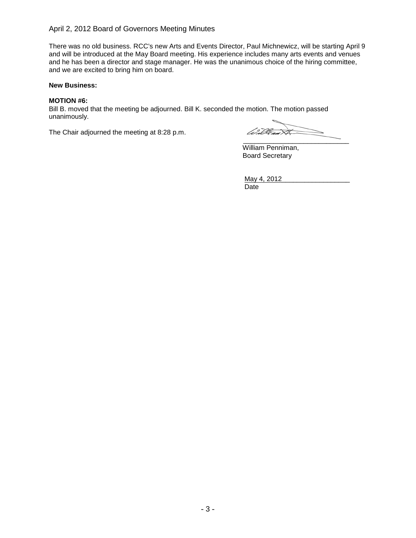#### April 2, 2012 Board of Governors Meeting Minutes

There was no old business. RCC's new Arts and Events Director, Paul Michnewicz, will be starting April 9 and will be introduced at the May Board meeting. His experience includes many arts events and venues and he has been a director and stage manager. He was the unanimous choice of the hiring committee, and we are excited to bring him on board.

#### **New Business:**

#### **MOTION #6:**

Bill B. moved that the meeting be adjourned. Bill K. seconded the motion. The motion passed unanimously.

The Chair adjourned the meeting at 8:28 p.m.

William XX \_\_\_\_\_\_\_\_\_\_\_\_\_\_\_\_\_\_\_\_\_\_\_\_\_\_\_\_

William Penniman, Board Secretary

May 4, 2012\_\_\_\_\_\_\_\_\_\_\_\_\_\_\_\_\_\_ Date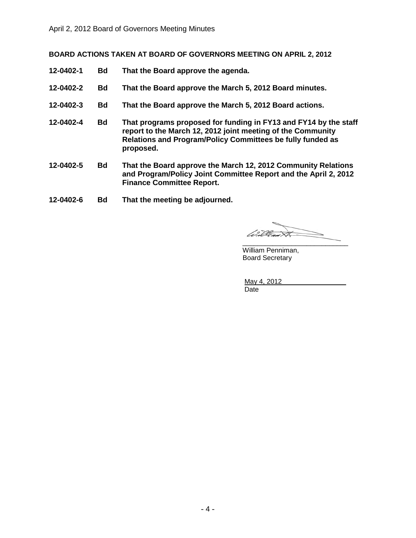**BOARD ACTIONS TAKEN AT BOARD OF GOVERNORS MEETING ON APRIL 2, 2012**

- **12-0402-1 Bd That the Board approve the agenda.**
- **12-0402-2 Bd That the Board approve the March 5, 2012 Board minutes.**
- **12-0402-3 Bd That the Board approve the March 5, 2012 Board actions.**
- **12-0402-4 Bd That programs proposed for funding in FY13 and FY14 by the staff report to the March 12, 2012 joint meeting of the Community Relations and Program/Policy Committees be fully funded as proposed.**
- **12-0402-5 Bd That the Board approve the March 12, 2012 Community Relations and Program/Policy Joint Committee Report and the April 2, 2012 Finance Committee Report.**
- **12-0402-6 Bd That the meeting be adjourned.**

Willes  $\cancel{\rtimes}$ \_\_\_\_\_\_\_\_\_\_\_\_\_\_\_\_\_\_\_\_\_\_\_\_\_\_\_\_

William Penniman, Board Secretary

May 4, 2012 Date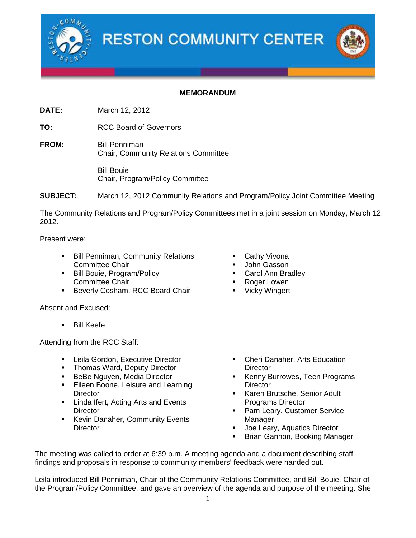



### **MEMORANDUM**

**DATE:** March 12, 2012

**TO:** RCC Board of Governors

**FROM:** Bill Penniman Chair, Community Relations Committee

> Bill Bouie Chair, Program/Policy Committee

**SUBJECT:** March 12, 2012 Community Relations and Program/Policy Joint Committee Meeting

The Community Relations and Program/Policy Committees met in a joint session on Monday, March 12, 2012.

Present were:

- **Bill Penniman, Community Relations** Committee Chair
- Bill Bouie, Program/Policy Committee Chair
- **Beverly Cosham, RCC Board Chair**

Absent and Excused:

**Bill Keefe** 

Attending from the RCC Staff:

- **EXECUTE:** Leila Gordon, Executive Director
- Thomas Ward, Deputy Director
- **BeBe Nguyen, Media Director**
- **Eileen Boone, Leisure and Learning Director**
- **EXEC** Linda Ifert, Acting Arts and Events **Director**
- **Kevin Danaher, Community Events Director**
- Cathy Vivona
- John Gasson
- Carol Ann Bradley
- Roger Lowen
- **•** Vicky Wingert

- Cheri Danaher, Arts Education **Director**
- Kenny Burrowes, Teen Programs **Director**
- Karen Brutsche, Senior Adult Programs Director
- Pam Leary, Customer Service Manager
- Joe Leary, Aquatics Director
- Brian Gannon, Booking Manager

The meeting was called to order at 6:39 p.m. A meeting agenda and a document describing staff findings and proposals in response to community members' feedback were handed out.

Leila introduced Bill Penniman, Chair of the Community Relations Committee, and Bill Bouie, Chair of the Program/Policy Committee, and gave an overview of the agenda and purpose of the meeting. She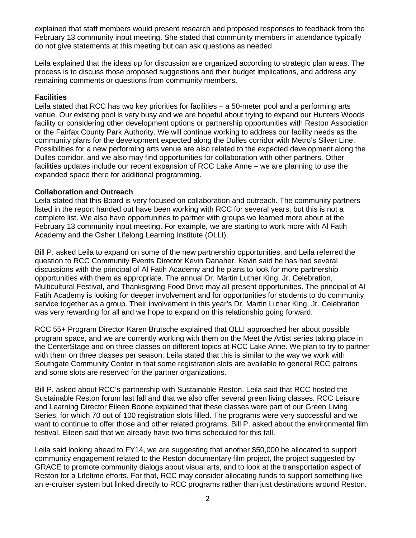explained that staff members would present research and proposed responses to feedback from the February 13 community input meeting. She stated that community members in attendance typically do not give statements at this meeting but can ask questions as needed.

Leila explained that the ideas up for discussion are organized according to strategic plan areas. The process is to discuss those proposed suggestions and their budget implications, and address any remaining comments or questions from community members.

#### **Facilities**

Leila stated that RCC has two key priorities for facilities – a 50-meter pool and a performing arts venue. Our existing pool is very busy and we are hopeful about trying to expand our Hunters Woods facility or considering other development options or partnership opportunities with Reston Association or the Fairfax County Park Authority. We will continue working to address our facility needs as the community plans for the development expected along the Dulles corridor with Metro's Silver Line. Possibilities for a new performing arts venue are also related to the expected development along the Dulles corridor, and we also may find opportunities for collaboration with other partners. Other facilities updates include our recent expansion of RCC Lake Anne – we are planning to use the expanded space there for additional programming.

#### **Collaboration and Outreach**

Leila stated that this Board is very focused on collaboration and outreach. The community partners listed in the report handed out have been working with RCC for several years, but this is not a complete list. We also have opportunities to partner with groups we learned more about at the February 13 community input meeting. For example, we are starting to work more with Al Fatih Academy and the Osher Lifelong Learning Institute (OLLI).

Bill P. asked Leila to expand on some of the new partnership opportunities, and Leila referred the question to RCC Community Events Director Kevin Danaher. Kevin said he has had several discussions with the principal of Al Fatih Academy and he plans to look for more partnership opportunities with them as appropriate. The annual Dr. Martin Luther King, Jr. Celebration, Multicultural Festival, and Thanksgiving Food Drive may all present opportunities. The principal of Al Fatih Academy is looking for deeper involvement and for opportunities for students to do community service together as a group. Their involvement in this year's Dr. Martin Luther King, Jr. Celebration was very rewarding for all and we hope to expand on this relationship going forward.

RCC 55+ Program Director Karen Brutsche explained that OLLI approached her about possible program space, and we are currently working with them on the Meet the Artist series taking place in the CenterStage and on three classes on different topics at RCC Lake Anne. We plan to try to partner with them on three classes per season. Leila stated that this is similar to the way we work with Southgate Community Center in that some registration slots are available to general RCC patrons and some slots are reserved for the partner organizations.

Bill P. asked about RCC's partnership with Sustainable Reston. Leila said that RCC hosted the Sustainable Reston forum last fall and that we also offer several green living classes. RCC Leisure and Learning Director Eileen Boone explained that these classes were part of our Green Living Series, for which 70 out of 100 registration slots filled. The programs were very successful and we want to continue to offer those and other related programs. Bill P. asked about the environmental film festival. Eileen said that we already have two films scheduled for this fall.

Leila said looking ahead to FY14, we are suggesting that another \$50,000 be allocated to support community engagement related to the Reston documentary film project, the project suggested by GRACE to promote community dialogs about visual arts, and to look at the transportation aspect of Reston for a Lifetime efforts. For that, RCC may consider allocating funds to support something like an e-cruiser system but linked directly to RCC programs rather than just destinations around Reston.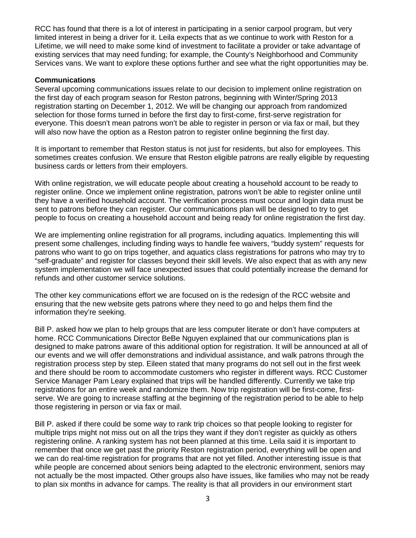RCC has found that there is a lot of interest in participating in a senior carpool program, but very limited interest in being a driver for it. Leila expects that as we continue to work with Reston for a Lifetime, we will need to make some kind of investment to facilitate a provider or take advantage of existing services that may need funding; for example, the County's Neighborhood and Community Services vans. We want to explore these options further and see what the right opportunities may be.

#### **Communications**

Several upcoming communications issues relate to our decision to implement online registration on the first day of each program season for Reston patrons, beginning with Winter/Spring 2013 registration starting on December 1, 2012. We will be changing our approach from randomized selection for those forms turned in before the first day to first-come, first-serve registration for everyone. This doesn't mean patrons won't be able to register in person or via fax or mail, but they will also now have the option as a Reston patron to register online beginning the first day.

It is important to remember that Reston status is not just for residents, but also for employees. This sometimes creates confusion. We ensure that Reston eligible patrons are really eligible by requesting business cards or letters from their employers.

With online registration, we will educate people about creating a household account to be ready to register online. Once we implement online registration, patrons won't be able to register online until they have a verified household account. The verification process must occur and login data must be sent to patrons before they can register. Our communications plan will be designed to try to get people to focus on creating a household account and being ready for online registration the first day.

We are implementing online registration for all programs, including aquatics. Implementing this will present some challenges, including finding ways to handle fee waivers, "buddy system" requests for patrons who want to go on trips together, and aquatics class registrations for patrons who may try to "self-graduate" and register for classes beyond their skill levels. We also expect that as with any new system implementation we will face unexpected issues that could potentially increase the demand for refunds and other customer service solutions.

The other key communications effort we are focused on is the redesign of the RCC website and ensuring that the new website gets patrons where they need to go and helps them find the information they're seeking.

Bill P. asked how we plan to help groups that are less computer literate or don't have computers at home. RCC Communications Director BeBe Nguyen explained that our communications plan is designed to make patrons aware of this additional option for registration. It will be announced at all of our events and we will offer demonstrations and individual assistance, and walk patrons through the registration process step by step. Eileen stated that many programs do not sell out in the first week and there should be room to accommodate customers who register in different ways. RCC Customer Service Manager Pam Leary explained that trips will be handled differently. Currently we take trip registrations for an entire week and randomize them. Now trip registration will be first-come, firstserve. We are going to increase staffing at the beginning of the registration period to be able to help those registering in person or via fax or mail.

Bill P. asked if there could be some way to rank trip choices so that people looking to register for multiple trips might not miss out on all the trips they want if they don't register as quickly as others registering online. A ranking system has not been planned at this time. Leila said it is important to remember that once we get past the priority Reston registration period, everything will be open and we can do real-time registration for programs that are not yet filled. Another interesting issue is that while people are concerned about seniors being adapted to the electronic environment, seniors may not actually be the most impacted. Other groups also have issues, like families who may not be ready to plan six months in advance for camps. The reality is that all providers in our environment start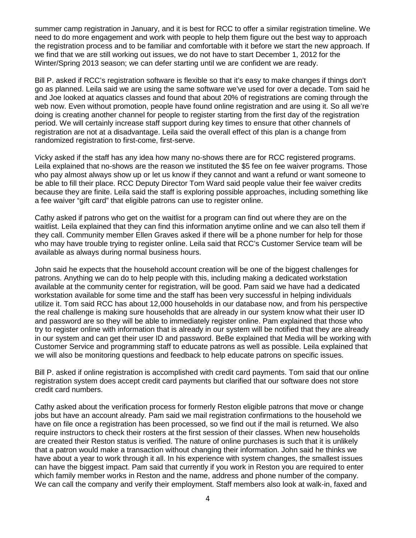summer camp registration in January, and it is best for RCC to offer a similar registration timeline. We need to do more engagement and work with people to help them figure out the best way to approach the registration process and to be familiar and comfortable with it before we start the new approach. If we find that we are still working out issues, we do not have to start December 1, 2012 for the Winter/Spring 2013 season; we can defer starting until we are confident we are ready.

Bill P. asked if RCC's registration software is flexible so that it's easy to make changes if things don't go as planned. Leila said we are using the same software we've used for over a decade. Tom said he and Joe looked at aquatics classes and found that about 20% of registrations are coming through the web now. Even without promotion, people have found online registration and are using it. So all we're doing is creating another channel for people to register starting from the first day of the registration period. We will certainly increase staff support during key times to ensure that other channels of registration are not at a disadvantage. Leila said the overall effect of this plan is a change from randomized registration to first-come, first-serve.

Vicky asked if the staff has any idea how many no-shows there are for RCC registered programs. Leila explained that no-shows are the reason we instituted the \$5 fee on fee waiver programs. Those who pay almost always show up or let us know if they cannot and want a refund or want someone to be able to fill their place. RCC Deputy Director Tom Ward said people value their fee waiver credits because they are finite. Leila said the staff is exploring possible approaches, including something like a fee waiver "gift card" that eligible patrons can use to register online.

Cathy asked if patrons who get on the waitlist for a program can find out where they are on the waitlist. Leila explained that they can find this information anytime online and we can also tell them if they call. Community member Ellen Graves asked if there will be a phone number for help for those who may have trouble trying to register online. Leila said that RCC's Customer Service team will be available as always during normal business hours.

John said he expects that the household account creation will be one of the biggest challenges for patrons. Anything we can do to help people with this, including making a dedicated workstation available at the community center for registration, will be good. Pam said we have had a dedicated workstation available for some time and the staff has been very successful in helping individuals utilize it. Tom said RCC has about 12,000 households in our database now, and from his perspective the real challenge is making sure households that are already in our system know what their user ID and password are so they will be able to immediately register online. Pam explained that those who try to register online with information that is already in our system will be notified that they are already in our system and can get their user ID and password. BeBe explained that Media will be working with Customer Service and programming staff to educate patrons as well as possible. Leila explained that we will also be monitoring questions and feedback to help educate patrons on specific issues.

Bill P. asked if online registration is accomplished with credit card payments. Tom said that our online registration system does accept credit card payments but clarified that our software does not store credit card numbers.

Cathy asked about the verification process for formerly Reston eligible patrons that move or change jobs but have an account already. Pam said we mail registration confirmations to the household we have on file once a registration has been processed, so we find out if the mail is returned. We also require instructors to check their rosters at the first session of their classes. When new households are created their Reston status is verified. The nature of online purchases is such that it is unlikely that a patron would make a transaction without changing their information. John said he thinks we have about a year to work through it all. In his experience with system changes, the smallest issues can have the biggest impact. Pam said that currently if you work in Reston you are required to enter which family member works in Reston and the name, address and phone number of the company. We can call the company and verify their employment. Staff members also look at walk-in, faxed and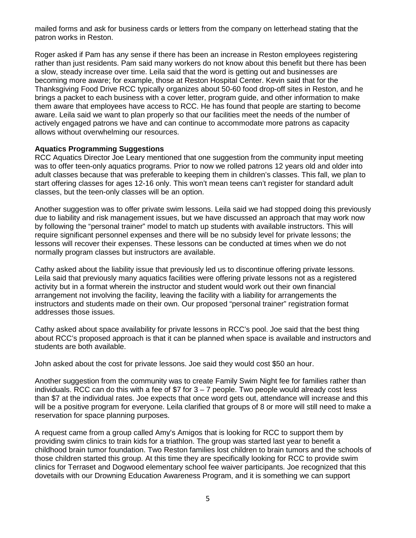mailed forms and ask for business cards or letters from the company on letterhead stating that the patron works in Reston.

Roger asked if Pam has any sense if there has been an increase in Reston employees registering rather than just residents. Pam said many workers do not know about this benefit but there has been a slow, steady increase over time. Leila said that the word is getting out and businesses are becoming more aware; for example, those at Reston Hospital Center. Kevin said that for the Thanksgiving Food Drive RCC typically organizes about 50-60 food drop-off sites in Reston, and he brings a packet to each business with a cover letter, program guide, and other information to make them aware that employees have access to RCC. He has found that people are starting to become aware. Leila said we want to plan properly so that our facilities meet the needs of the number of actively engaged patrons we have and can continue to accommodate more patrons as capacity allows without overwhelming our resources.

#### **Aquatics Programming Suggestions**

RCC Aquatics Director Joe Leary mentioned that one suggestion from the community input meeting was to offer teen-only aquatics programs. Prior to now we rolled patrons 12 years old and older into adult classes because that was preferable to keeping them in children's classes. This fall, we plan to start offering classes for ages 12-16 only. This won't mean teens can't register for standard adult classes, but the teen-only classes will be an option.

Another suggestion was to offer private swim lessons. Leila said we had stopped doing this previously due to liability and risk management issues, but we have discussed an approach that may work now by following the "personal trainer" model to match up students with available instructors. This will require significant personnel expenses and there will be no subsidy level for private lessons; the lessons will recover their expenses. These lessons can be conducted at times when we do not normally program classes but instructors are available.

Cathy asked about the liability issue that previously led us to discontinue offering private lessons. Leila said that previously many aquatics facilities were offering private lessons not as a registered activity but in a format wherein the instructor and student would work out their own financial arrangement not involving the facility, leaving the facility with a liability for arrangements the instructors and students made on their own. Our proposed "personal trainer" registration format addresses those issues.

Cathy asked about space availability for private lessons in RCC's pool. Joe said that the best thing about RCC's proposed approach is that it can be planned when space is available and instructors and students are both available.

John asked about the cost for private lessons. Joe said they would cost \$50 an hour.

Another suggestion from the community was to create Family Swim Night fee for families rather than individuals. RCC can do this with a fee of  $$7$  for  $3 - 7$  people. Two people would already cost less than \$7 at the individual rates. Joe expects that once word gets out, attendance will increase and this will be a positive program for everyone. Leila clarified that groups of 8 or more will still need to make a reservation for space planning purposes.

A request came from a group called Amy's Amigos that is looking for RCC to support them by providing swim clinics to train kids for a triathlon. The group was started last year to benefit a childhood brain tumor foundation. Two Reston families lost children to brain tumors and the schools of those children started this group. At this time they are specifically looking for RCC to provide swim clinics for Terraset and Dogwood elementary school fee waiver participants. Joe recognized that this dovetails with our Drowning Education Awareness Program, and it is something we can support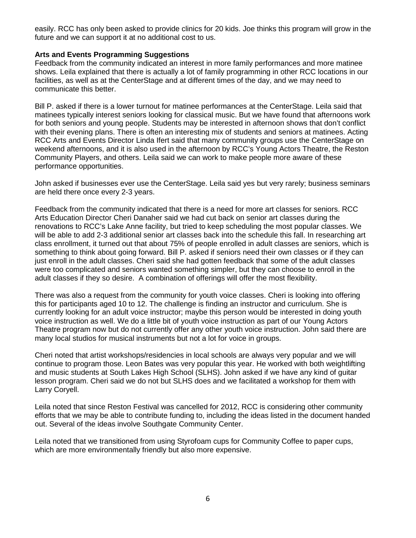easily. RCC has only been asked to provide clinics for 20 kids. Joe thinks this program will grow in the future and we can support it at no additional cost to us.

### **Arts and Events Programming Suggestions**

Feedback from the community indicated an interest in more family performances and more matinee shows. Leila explained that there is actually a lot of family programming in other RCC locations in our facilities, as well as at the CenterStage and at different times of the day, and we may need to communicate this better.

Bill P. asked if there is a lower turnout for matinee performances at the CenterStage. Leila said that matinees typically interest seniors looking for classical music. But we have found that afternoons work for both seniors and young people. Students may be interested in afternoon shows that don't conflict with their evening plans. There is often an interesting mix of students and seniors at matinees. Acting RCC Arts and Events Director Linda Ifert said that many community groups use the CenterStage on weekend afternoons, and it is also used in the afternoon by RCC's Young Actors Theatre, the Reston Community Players, and others. Leila said we can work to make people more aware of these performance opportunities.

John asked if businesses ever use the CenterStage. Leila said yes but very rarely; business seminars are held there once every 2-3 years.

Feedback from the community indicated that there is a need for more art classes for seniors. RCC Arts Education Director Cheri Danaher said we had cut back on senior art classes during the renovations to RCC's Lake Anne facility, but tried to keep scheduling the most popular classes. We will be able to add 2-3 additional senior art classes back into the schedule this fall. In researching art class enrollment, it turned out that about 75% of people enrolled in adult classes are seniors, which is something to think about going forward. Bill P. asked if seniors need their own classes or if they can just enroll in the adult classes. Cheri said she had gotten feedback that some of the adult classes were too complicated and seniors wanted something simpler, but they can choose to enroll in the adult classes if they so desire. A combination of offerings will offer the most flexibility.

There was also a request from the community for youth voice classes. Cheri is looking into offering this for participants aged 10 to 12. The challenge is finding an instructor and curriculum. She is currently looking for an adult voice instructor; maybe this person would be interested in doing youth voice instruction as well. We do a little bit of youth voice instruction as part of our Young Actors Theatre program now but do not currently offer any other youth voice instruction. John said there are many local studios for musical instruments but not a lot for voice in groups.

Cheri noted that artist workshops/residencies in local schools are always very popular and we will continue to program those. Leon Bates was very popular this year. He worked with both weightlifting and music students at South Lakes High School (SLHS). John asked if we have any kind of guitar lesson program. Cheri said we do not but SLHS does and we facilitated a workshop for them with Larry Coryell.

Leila noted that since Reston Festival was cancelled for 2012, RCC is considering other community efforts that we may be able to contribute funding to, including the ideas listed in the document handed out. Several of the ideas involve Southgate Community Center.

Leila noted that we transitioned from using Styrofoam cups for Community Coffee to paper cups, which are more environmentally friendly but also more expensive.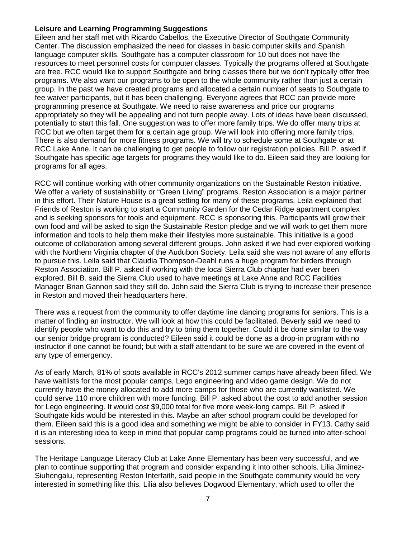### **Leisure and Learning Programming Suggestions**

Eileen and her staff met with Ricardo Cabellos, the Executive Director of Southgate Community Center. The discussion emphasized the need for classes in basic computer skills and Spanish language computer skills. Southgate has a computer classroom for 10 but does not have the resources to meet personnel costs for computer classes. Typically the programs offered at Southgate are free. RCC would like to support Southgate and bring classes there but we don't typically offer free programs. We also want our programs to be open to the whole community rather than just a certain group. In the past we have created programs and allocated a certain number of seats to Southgate to fee waiver participants, but it has been challenging. Everyone agrees that RCC can provide more programming presence at Southgate. We need to raise awareness and price our programs appropriately so they will be appealing and not turn people away. Lots of ideas have been discussed, potentially to start this fall. One suggestion was to offer more family trips. We do offer many trips at RCC but we often target them for a certain age group. We will look into offering more family trips. There is also demand for more fitness programs. We will try to schedule some at Southgate or at RCC Lake Anne. It can be challenging to get people to follow our registration policies. Bill P. asked if Southgate has specific age targets for programs they would like to do. Eileen said they are looking for programs for all ages.

RCC will continue working with other community organizations on the Sustainable Reston initiative. We offer a variety of sustainability or "Green Living" programs. Reston Association is a major partner in this effort. Their Nature House is a great setting for many of these programs. Leila explained that Friends of Reston is working to start a Community Garden for the Cedar Ridge apartment complex and is seeking sponsors for tools and equipment. RCC is sponsoring this. Participants will grow their own food and will be asked to sign the Sustainable Reston pledge and we will work to get them more information and tools to help them make their lifestyles more sustainable. This initiative is a good outcome of collaboration among several different groups. John asked if we had ever explored working with the Northern Virginia chapter of the Audubon Society. Leila said she was not aware of any efforts to pursue this. Leila said that Claudia Thompson-Deahl runs a huge program for birders through Reston Association. Bill P. asked if working with the local Sierra Club chapter had ever been explored. Bill B. said the Sierra Club used to have meetings at Lake Anne and RCC Facilities Manager Brian Gannon said they still do. John said the Sierra Club is trying to increase their presence in Reston and moved their headquarters here.

There was a request from the community to offer daytime line dancing programs for seniors. This is a matter of finding an instructor. We will look at how this could be facilitated. Beverly said we need to identify people who want to do this and try to bring them together. Could it be done similar to the way our senior bridge program is conducted? Eileen said it could be done as a drop-in program with no instructor if one cannot be found; but with a staff attendant to be sure we are covered in the event of any type of emergency.

As of early March, 81% of spots available in RCC's 2012 summer camps have already been filled. We have waitlists for the most popular camps, Lego engineering and video game design. We do not currently have the money allocated to add more camps for those who are currently waitlisted. We could serve 110 more children with more funding. Bill P. asked about the cost to add another session for Lego engineering. It would cost \$9,000 total for five more week-long camps. Bill P. asked if Southgate kids would be interested in this. Maybe an after school program could be developed for them. Eileen said this is a good idea and something we might be able to consider in FY13. Cathy said it is an interesting idea to keep in mind that popular camp programs could be turned into after-school sessions.

The Heritage Language Literacy Club at Lake Anne Elementary has been very successful, and we plan to continue supporting that program and consider expanding it into other schools. Lilia Jiminez-Siuhengalu, representing Reston Interfaith, said people in the Southgate community would be very interested in something like this. Lilia also believes Dogwood Elementary, which used to offer the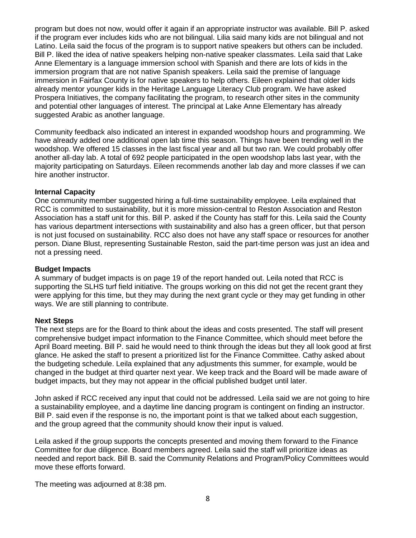program but does not now, would offer it again if an appropriate instructor was available. Bill P. asked if the program ever includes kids who are not bilingual. Lilia said many kids are not bilingual and not Latino. Leila said the focus of the program is to support native speakers but others can be included. Bill P. liked the idea of native speakers helping non-native speaker classmates. Leila said that Lake Anne Elementary is a language immersion school with Spanish and there are lots of kids in the immersion program that are not native Spanish speakers. Leila said the premise of language immersion in Fairfax County is for native speakers to help others. Eileen explained that older kids already mentor younger kids in the Heritage Language Literacy Club program. We have asked Prospera Initiatives, the company facilitating the program, to research other sites in the community and potential other languages of interest. The principal at Lake Anne Elementary has already suggested Arabic as another language.

Community feedback also indicated an interest in expanded woodshop hours and programming. We have already added one additional open lab time this season. Things have been trending well in the woodshop. We offered 15 classes in the last fiscal year and all but two ran. We could probably offer another all-day lab. A total of 692 people participated in the open woodshop labs last year, with the majority participating on Saturdays. Eileen recommends another lab day and more classes if we can hire another instructor.

#### **Internal Capacity**

One community member suggested hiring a full-time sustainability employee. Leila explained that RCC is committed to sustainability, but it is more mission-central to Reston Association and Reston Association has a staff unit for this. Bill P. asked if the County has staff for this. Leila said the County has various department intersections with sustainability and also has a green officer, but that person is not just focused on sustainability. RCC also does not have any staff space or resources for another person. Diane Blust, representing Sustainable Reston, said the part-time person was just an idea and not a pressing need.

#### **Budget Impacts**

A summary of budget impacts is on page 19 of the report handed out. Leila noted that RCC is supporting the SLHS turf field initiative. The groups working on this did not get the recent grant they were applying for this time, but they may during the next grant cycle or they may get funding in other ways. We are still planning to contribute.

#### **Next Steps**

The next steps are for the Board to think about the ideas and costs presented. The staff will present comprehensive budget impact information to the Finance Committee, which should meet before the April Board meeting. Bill P. said he would need to think through the ideas but they all look good at first glance. He asked the staff to present a prioritized list for the Finance Committee. Cathy asked about the budgeting schedule. Leila explained that any adjustments this summer, for example, would be changed in the budget at third quarter next year. We keep track and the Board will be made aware of budget impacts, but they may not appear in the official published budget until later.

John asked if RCC received any input that could not be addressed. Leila said we are not going to hire a sustainability employee, and a daytime line dancing program is contingent on finding an instructor. Bill P. said even if the response is no, the important point is that we talked about each suggestion, and the group agreed that the community should know their input is valued.

Leila asked if the group supports the concepts presented and moving them forward to the Finance Committee for due diligence. Board members agreed. Leila said the staff will prioritize ideas as needed and report back. Bill B. said the Community Relations and Program/Policy Committees would move these efforts forward.

The meeting was adjourned at 8:38 pm.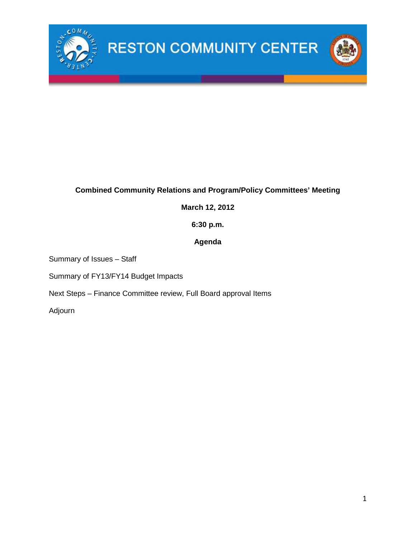

## **Combined Community Relations and Program/Policy Committees' Meeting**

### **March 12, 2012**

**6:30 p.m.**

### **Agenda**

Summary of Issues – Staff

Summary of FY13/FY14 Budget Impacts

Next Steps – Finance Committee review, Full Board approval Items

Adjourn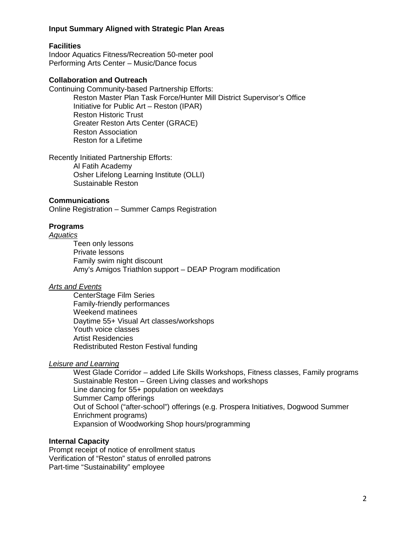#### **Input Summary Aligned with Strategic Plan Areas**

#### **Facilities**

Indoor Aquatics Fitness/Recreation 50-meter pool Performing Arts Center – Music/Dance focus

#### **Collaboration and Outreach**

Continuing Community-based Partnership Efforts: Reston Master Plan Task Force/Hunter Mill District Supervisor's Office Initiative for Public Art – Reston (IPAR) Reston Historic Trust Greater Reston Arts Center (GRACE) Reston Association Reston for a Lifetime

Recently Initiated Partnership Efforts:

Al Fatih Academy Osher Lifelong Learning Institute (OLLI) Sustainable Reston

#### **Communications**

Online Registration – Summer Camps Registration

#### **Programs**

#### *Aquatics*

Teen only lessons Private lessons Family swim night discount Amy's Amigos Triathlon support – DEAP Program modification

#### *Arts and Events*

CenterStage Film Series Family-friendly performances Weekend matinees Daytime 55+ Visual Art classes/workshops Youth voice classes Artist Residencies Redistributed Reston Festival funding

### *Leisure and Learning*

West Glade Corridor – added Life Skills Workshops, Fitness classes, Family programs Sustainable Reston – Green Living classes and workshops Line dancing for 55+ population on weekdays Summer Camp offerings Out of School ("after-school") offerings (e.g. Prospera Initiatives, Dogwood Summer Enrichment programs) Expansion of Woodworking Shop hours/programming

#### **Internal Capacity**

Prompt receipt of notice of enrollment status Verification of "Reston" status of enrolled patrons Part-time "Sustainability" employee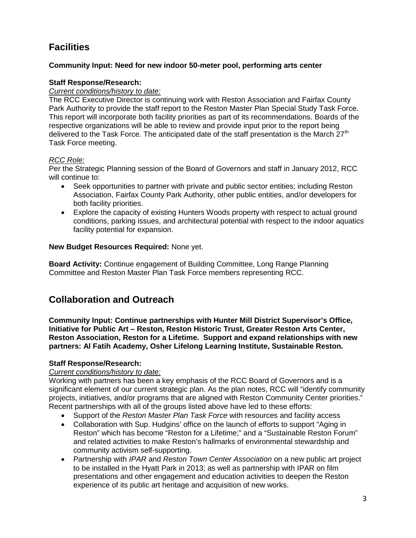# **Facilities**

### **Community Input: Need for new indoor 50-meter pool, performing arts center**

### **Staff Response/Research:**

### *Current conditions/history to date:*

The RCC Executive Director is continuing work with Reston Association and Fairfax County Park Authority to provide the staff report to the Reston Master Plan Special Study Task Force. This report will incorporate both facility priorities as part of its recommendations. Boards of the respective organizations will be able to review and provide input prior to the report being delivered to the Task Force. The anticipated date of the staff presentation is the March 27<sup>th</sup> Task Force meeting.

### *RCC Role:*

Per the Strategic Planning session of the Board of Governors and staff in January 2012, RCC will continue to:

- Seek opportunities to partner with private and public sector entities; including Reston Association, Fairfax County Park Authority, other public entities, and/or developers for both facility priorities.
- Explore the capacity of existing Hunters Woods property with respect to actual ground conditions, parking issues, and architectural potential with respect to the indoor aquatics facility potential for expansion.

### **New Budget Resources Required:** None yet.

**Board Activity:** Continue engagement of Building Committee, Long Range Planning Committee and Reston Master Plan Task Force members representing RCC.

## **Collaboration and Outreach**

**Community Input: Continue partnerships with Hunter Mill District Supervisor's Office, Initiative for Public Art – Reston, Reston Historic Trust, Greater Reston Arts Center, Reston Association, Reston for a Lifetime. Support and expand relationships with new partners: Al Fatih Academy, Osher Lifelong Learning Institute, Sustainable Reston.**

### **Staff Response/Research:**

### *Current conditions/history to date:*

Working with partners has been a key emphasis of the RCC Board of Governors and is a significant element of our current strategic plan. As the plan notes, RCC will "identify community projects, initiatives, and/or programs that are aligned with Reston Community Center priorities." Recent partnerships with all of the groups listed above have led to these efforts:

- Support of the *Reston Master Plan Task Force* with resources and facility access
- Collaboration with Sup. Hudgins' office on the launch of efforts to support "Aging in Reston" which has become "Reston for a Lifetime;" and a "Sustainable Reston Forum" and related activities to make Reston's hallmarks of environmental stewardship and community activism self-supporting.
- Partnership with *IPAR* and *Reston Town Center Association* on a new public art project to be installed in the Hyatt Park in 2013; as well as partnership with IPAR on film presentations and other engagement and education activities to deepen the Reston experience of its public art heritage and acquisition of new works.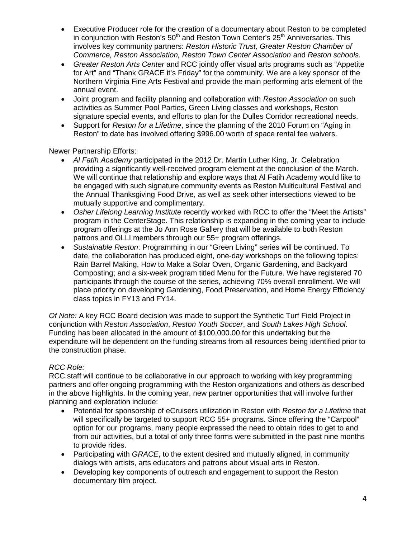- Executive Producer role for the creation of a documentary about Reston to be completed in conjunction with Reston's  $50<sup>th</sup>$  and Reston Town Center's  $25<sup>th</sup>$  Anniversaries. This involves key community partners: *Reston Historic Trust, Greater Reston Chamber of Commerce, Reston Association, Reston Town Center Association* and *Reston schools*.
- *Greater Reston Arts Center* and RCC jointly offer visual arts programs such as "Appetite for Art" and "Thank GRACE it's Friday" for the community. We are a key sponsor of the Northern Virginia Fine Arts Festival and provide the main performing arts element of the annual event.
- Joint program and facility planning and collaboration with *Reston Association* on such activities as Summer Pool Parties, Green Living classes and workshops, Reston signature special events, and efforts to plan for the Dulles Corridor recreational needs.
- Support for *Reston for a Lifetime*, since the planning of the 2010 Forum on "Aging in Reston" to date has involved offering \$996.00 worth of space rental fee waivers.

Newer Partnership Efforts:

- *Al Fatih Academy* participated in the 2012 Dr. Martin Luther King, Jr. Celebration providing a significantly well-received program element at the conclusion of the March. We will continue that relationship and explore ways that Al Fatih Academy would like to be engaged with such signature community events as Reston Multicultural Festival and the Annual Thanksgiving Food Drive, as well as seek other intersections viewed to be mutually supportive and complimentary.
- *Osher Lifelong Learning Institute* recently worked with RCC to offer the "Meet the Artists" program in the CenterStage. This relationship is expanding in the coming year to include program offerings at the Jo Ann Rose Gallery that will be available to both Reston patrons and OLLI members through our 55+ program offerings.
- *Sustainable Reston*: Programming in our "Green Living" series will be continued. To date, the collaboration has produced eight, one-day workshops on the following topics: Rain Barrel Making, How to Make a Solar Oven, Organic Gardening, and Backyard Composting; and a six-week program titled Menu for the Future. We have registered 70 participants through the course of the series, achieving 70% overall enrollment. We will place priority on developing Gardening, Food Preservation, and Home Energy Efficiency class topics in FY13 and FY14.

*Of Note:* A key RCC Board decision was made to support the Synthetic Turf Field Project in conjunction with *Reston Association*, *Reston Youth Soccer*, and *South Lakes High School*. Funding has been allocated in the amount of \$100,000.00 for this undertaking but the expenditure will be dependent on the funding streams from all resources being identified prior to the construction phase.

### *RCC Role:*

RCC staff will continue to be collaborative in our approach to working with key programming partners and offer ongoing programming with the Reston organizations and others as described in the above highlights. In the coming year, new partner opportunities that will involve further planning and exploration include:

- Potential for sponsorship of eCruisers utilization in Reston with *Reston for a Lifetime* that will specifically be targeted to support RCC 55+ programs. Since offering the "Carpool" option for our programs, many people expressed the need to obtain rides to get to and from our activities, but a total of only three forms were submitted in the past nine months to provide rides.
- Participating with *GRACE*, to the extent desired and mutually aligned, in community dialogs with artists, arts educators and patrons about visual arts in Reston.
- Developing key components of outreach and engagement to support the Reston documentary film project.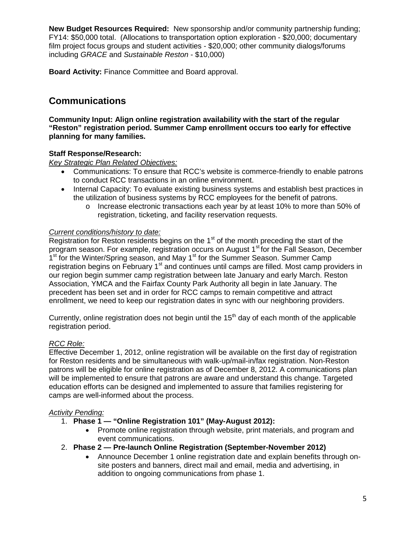**New Budget Resources Required:** New sponsorship and/or community partnership funding; FY14: \$50,000 total. (Allocations to transportation option exploration - \$20,000; documentary film project focus groups and student activities - \$20,000; other community dialogs/forums including *GRACE* and *Sustainable Reston* - \$10,000)

**Board Activity:** Finance Committee and Board approval.

## **Communications**

**Community Input: Align online registration availability with the start of the regular "Reston" registration period. Summer Camp enrollment occurs too early for effective planning for many families.**

### **Staff Response/Research:**

*Key Strategic Plan Related Objectives:*

- Communications: To ensure that RCC's website is commerce-friendly to enable patrons to conduct RCC transactions in an online environment.
- Internal Capacity: To evaluate existing business systems and establish best practices in the utilization of business systems by RCC employees for the benefit of patrons.
	- o Increase electronic transactions each year by at least 10% to more than 50% of registration, ticketing, and facility reservation requests.

### *Current conditions/history to date:*

Registration for Reston residents begins on the  $1<sup>st</sup>$  of the month preceding the start of the program season. For example, registration occurs on August 1<sup>st</sup> for the Fall Season, December 1<sup>st</sup> for the Winter/Spring season, and May 1<sup>st</sup> for the Summer Season. Summer Camp registration begins on February 1<sup>st</sup> and continues until camps are filled. Most camp providers in our region begin summer camp registration between late January and early March. Reston Association, YMCA and the Fairfax County Park Authority all begin in late January. The precedent has been set and in order for RCC camps to remain competitive and attract enrollment, we need to keep our registration dates in sync with our neighboring providers.

Currently, online registration does not begin until the  $15<sup>th</sup>$  day of each month of the applicable registration period.

### *RCC Role:*

Effective December 1, 2012, online registration will be available on the first day of registration for Reston residents and be simultaneous with walk-up/mail-in/fax registration. Non-Reston patrons will be eligible for online registration as of December 8, 2012. A communications plan will be implemented to ensure that patrons are aware and understand this change. Targeted education efforts can be designed and implemented to assure that families registering for camps are well-informed about the process.

### *Activity Pending:*

- 1. **Phase 1 "Online Registration 101" (May-August 2012):**
	- Promote online registration through website, print materials, and program and event communications.
- 2. **Phase 2 Pre-launch Online Registration (September-November 2012)**
	- Announce December 1 online registration date and explain benefits through onsite posters and banners, direct mail and email, media and advertising, in addition to ongoing communications from phase 1.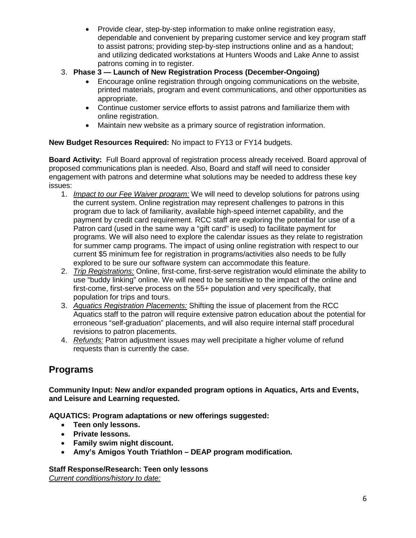- Provide clear, step-by-step information to make online registration easy, dependable and convenient by preparing customer service and key program staff to assist patrons; providing step-by-step instructions online and as a handout; and utilizing dedicated workstations at Hunters Woods and Lake Anne to assist patrons coming in to register.
- 3. **Phase 3 Launch of New Registration Process (December-Ongoing)**
	- Encourage online registration through ongoing communications on the website, printed materials, program and event communications, and other opportunities as appropriate.
	- Continue customer service efforts to assist patrons and familiarize them with online registration.
	- Maintain new website as a primary source of registration information.

## **New Budget Resources Required:** No impact to FY13 or FY14 budgets.

**Board Activity:** Full Board approval of registration process already received. Board approval of proposed communications plan is needed. Also, Board and staff will need to consider engagement with patrons and determine what solutions may be needed to address these key issues:

- 1. *Impact to our Fee Waiver program:* We will need to develop solutions for patrons using the current system. Online registration may represent challenges to patrons in this program due to lack of familiarity, available high-speed internet capability, and the payment by credit card requirement. RCC staff are exploring the potential for use of a Patron card (used in the same way a "gift card" is used) to facilitate payment for programs. We will also need to explore the calendar issues as they relate to registration for summer camp programs. The impact of using online registration with respect to our current \$5 minimum fee for registration in programs/activities also needs to be fully explored to be sure our software system can accommodate this feature.
- 2. *Trip Registrations:* Online, first-come, first-serve registration would eliminate the ability to use "buddy linking" online. We will need to be sensitive to the impact of the online and first-come, first-serve process on the 55+ population and very specifically, that population for trips and tours.
- 3. *Aquatics Registration Placements:* Shifting the issue of placement from the RCC Aquatics staff to the patron will require extensive patron education about the potential for erroneous "self-graduation" placements, and will also require internal staff procedural revisions to patron placements.
- 4. *Refunds:* Patron adjustment issues may well precipitate a higher volume of refund requests than is currently the case.

## **Programs**

**Community Input: New and/or expanded program options in Aquatics, Arts and Events, and Leisure and Learning requested.**

**AQUATICS: Program adaptations or new offerings suggested:**

- **Teen only lessons.**
- **Private lessons.**
- **Family swim night discount.**
- **Amy's Amigos Youth Triathlon DEAP program modification.**

**Staff Response/Research: Teen only lessons** *Current conditions/history to date:*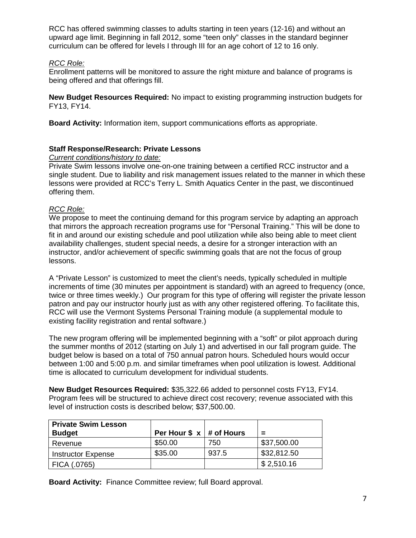RCC has offered swimming classes to adults starting in teen years (12-16) and without an upward age limit. Beginning in fall 2012, some "teen only" classes in the standard beginner curriculum can be offered for levels I through III for an age cohort of 12 to 16 only.

### *RCC Role:*

Enrollment patterns will be monitored to assure the right mixture and balance of programs is being offered and that offerings fill.

**New Budget Resources Required:** No impact to existing programming instruction budgets for FY13, FY14.

**Board Activity:** Information item, support communications efforts as appropriate.

### **Staff Response/Research: Private Lessons**

### *Current conditions/history to date:*

Private Swim lessons involve one-on-one training between a certified RCC instructor and a single student. Due to liability and risk management issues related to the manner in which these lessons were provided at RCC's Terry L. Smith Aquatics Center in the past, we discontinued offering them.

### *RCC Role:*

We propose to meet the continuing demand for this program service by adapting an approach that mirrors the approach recreation programs use for "Personal Training." This will be done to fit in and around our existing schedule and pool utilization while also being able to meet client availability challenges, student special needs, a desire for a stronger interaction with an instructor, and/or achievement of specific swimming goals that are not the focus of group lessons.

A "Private Lesson" is customized to meet the client's needs, typically scheduled in multiple increments of time (30 minutes per appointment is standard) with an agreed to frequency (once, twice or three times weekly.) Our program for this type of offering will register the private lesson patron and pay our instructor hourly just as with any other registered offering. To facilitate this, RCC will use the Vermont Systems Personal Training module (a supplemental module to existing facility registration and rental software.)

The new program offering will be implemented beginning with a "soft" or pilot approach during the summer months of 2012 (starting on July 1) and advertised in our fall program guide. The budget below is based on a total of 750 annual patron hours. Scheduled hours would occur between 1:00 and 5:00 p.m. and similar timeframes when pool utilization is lowest. Additional time is allocated to curriculum development for individual students.

**New Budget Resources Required:** \$35,322.66 added to personnel costs FY13, FY14. Program fees will be structured to achieve direct cost recovery; revenue associated with this level of instruction costs is described below; \$37,500.00.

| <b>Private Swim Lesson</b><br><b>Budget</b> | Per Hour $\frac{1}{2}$ x   # of Hours |       | $\equiv$    |
|---------------------------------------------|---------------------------------------|-------|-------------|
|                                             |                                       |       |             |
| Revenue                                     | \$50.00                               | 750   | \$37,500.00 |
| <b>Instructor Expense</b>                   | \$35.00                               | 937.5 | \$32,812.50 |
| FICA (.0765)                                |                                       |       | \$2,510.16  |

**Board Activity:** Finance Committee review; full Board approval.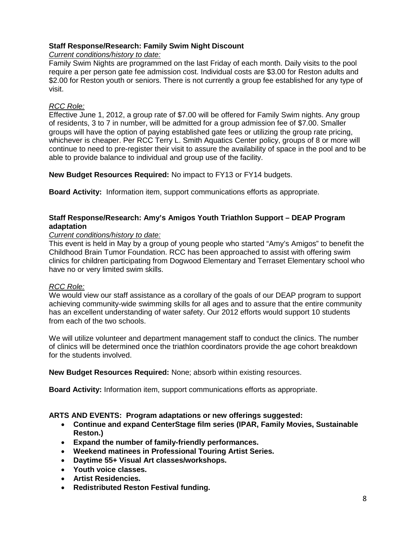### **Staff Response/Research: Family Swim Night Discount**

*Current conditions/history to date:*

Family Swim Nights are programmed on the last Friday of each month. Daily visits to the pool require a per person gate fee admission cost. Individual costs are \$3.00 for Reston adults and \$2.00 for Reston youth or seniors. There is not currently a group fee established for any type of visit.

### *RCC Role:*

Effective June 1, 2012, a group rate of \$7.00 will be offered for Family Swim nights. Any group of residents, 3 to 7 in number, will be admitted for a group admission fee of \$7.00. Smaller groups will have the option of paying established gate fees or utilizing the group rate pricing, whichever is cheaper. Per RCC Terry L. Smith Aquatics Center policy, groups of 8 or more will continue to need to pre-register their visit to assure the availability of space in the pool and to be able to provide balance to individual and group use of the facility.

**New Budget Resources Required:** No impact to FY13 or FY14 budgets.

**Board Activity:** Information item, support communications efforts as appropriate.

### **Staff Response/Research: Amy's Amigos Youth Triathlon Support – DEAP Program adaptation**

### *Current conditions/history to date:*

This event is held in May by a group of young people who started "Amy's Amigos" to benefit the Childhood Brain Tumor Foundation. RCC has been approached to assist with offering swim clinics for children participating from Dogwood Elementary and Terraset Elementary school who have no or very limited swim skills.

### *RCC Role:*

We would view our staff assistance as a corollary of the goals of our DEAP program to support achieving community-wide swimming skills for all ages and to assure that the entire community has an excellent understanding of water safety. Our 2012 efforts would support 10 students from each of the two schools.

We will utilize volunteer and department management staff to conduct the clinics. The number of clinics will be determined once the triathlon coordinators provide the age cohort breakdown for the students involved.

**New Budget Resources Required:** None; absorb within existing resources.

**Board Activity:** Information item, support communications efforts as appropriate.

### **ARTS AND EVENTS: Program adaptations or new offerings suggested:**

- **Continue and expand CenterStage film series (IPAR, Family Movies, Sustainable Reston.)**
- **Expand the number of family-friendly performances.**
- **Weekend matinees in Professional Touring Artist Series.**
- **Daytime 55+ Visual Art classes/workshops.**
- **Youth voice classes.**
- **Artist Residencies.**
- **Redistributed Reston Festival funding.**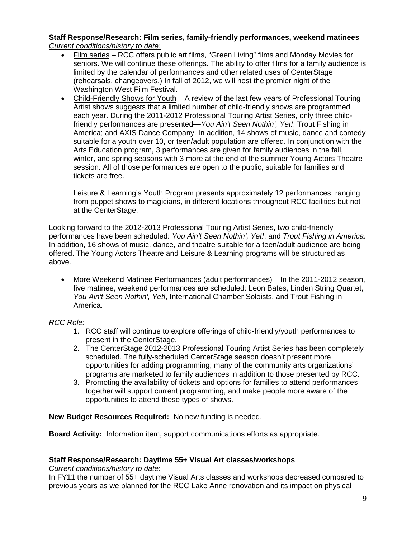### **Staff Response/Research: Film series, family-friendly performances, weekend matinees** *Current conditions/history to date:*

- Film series RCC offers public art films, "Green Living" films and Monday Movies for seniors. We will continue these offerings. The ability to offer films for a family audience is limited by the calendar of performances and other related uses of CenterStage (rehearsals, changeovers.) In fall of 2012, we will host the premier night of the Washington West Film Festival.
- Child-Friendly Shows for Youth A review of the last few years of Professional Touring Artist shows suggests that a limited number of child-friendly shows are programmed each year. During the 2011-2012 Professional Touring Artist Series, only three childfriendly performances are presented—*You Ain't Seen Nothin', Yet!*; Trout Fishing in America; and AXIS Dance Company. In addition, 14 shows of music, dance and comedy suitable for a youth over 10, or teen/adult population are offered. In conjunction with the Arts Education program, 3 performances are given for family audiences in the fall, winter, and spring seasons with 3 more at the end of the summer Young Actors Theatre session. All of those performances are open to the public, suitable for families and tickets are free.

Leisure & Learning's Youth Program presents approximately 12 performances, ranging from puppet shows to magicians, in different locations throughout RCC facilities but not at the CenterStage.

Looking forward to the 2012-2013 Professional Touring Artist Series, two child-friendly performances have been scheduled: *You Ain't Seen Nothin', Yet!*; and *Trout Fishing in America*. In addition, 16 shows of music, dance, and theatre suitable for a teen/adult audience are being offered. The Young Actors Theatre and Leisure & Learning programs will be structured as above.

 More Weekend Matinee Performances (adult performances) – In the 2011-2012 season, five matinee, weekend performances are scheduled: Leon Bates, Linden String Quartet, *You Ain't Seen Nothin', Yet!*, International Chamber Soloists, and Trout Fishing in America.

### *RCC Role:*

- 1. RCC staff will continue to explore offerings of child-friendly/youth performances to present in the CenterStage.
- 2. The CenterStage 2012-2013 Professional Touring Artist Series has been completely scheduled. The fully-scheduled CenterStage season doesn't present more opportunities for adding programming; many of the community arts organizations' programs are marketed to family audiences in addition to those presented by RCC.
- 3. Promoting the availability of tickets and options for families to attend performances together will support current programming, and make people more aware of the opportunities to attend these types of shows.

**New Budget Resources Required:** No new funding is needed.

**Board Activity:** Information item, support communications efforts as appropriate.

### **Staff Response/Research: Daytime 55+ Visual Art classes/workshops**

*Current conditions/history to date*:

In FY11 the number of 55+ daytime Visual Arts classes and workshops decreased compared to previous years as we planned for the RCC Lake Anne renovation and its impact on physical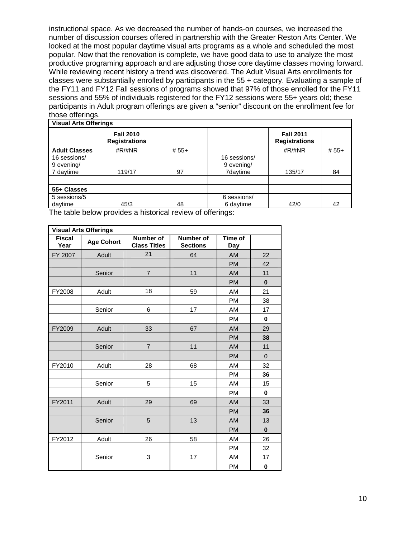instructional space. As we decreased the number of hands-on courses, we increased the number of discussion courses offered in partnership with the Greater Reston Arts Center. We looked at the most popular daytime visual arts programs as a whole and scheduled the most popular. Now that the renovation is complete, we have good data to use to analyze the most productive programing approach and are adjusting those core daytime classes moving forward. While reviewing recent history a trend was discovered. The Adult Visual Arts enrollments for classes were substantially enrolled by participants in the 55 + category. Evaluating a sample of the FY11 and FY12 Fall sessions of programs showed that 97% of those enrolled for the FY11 sessions and 55% of individuals registered for the FY12 sessions were 55+ years old; these participants in Adult program offerings are given a "senior" discount on the enrollment fee for those offerings.

| <b>Visual Arts Offerings</b>            |                                          |         |                                        |                                          |         |  |  |  |  |  |  |
|-----------------------------------------|------------------------------------------|---------|----------------------------------------|------------------------------------------|---------|--|--|--|--|--|--|
|                                         | <b>Fall 2010</b><br><b>Registrations</b> |         |                                        | <b>Fall 2011</b><br><b>Registrations</b> |         |  |  |  |  |  |  |
| <b>Adult Classes</b>                    | # $R$ /#NR                               | $# 55+$ |                                        | $\#R/\#NR$                               | $# 55+$ |  |  |  |  |  |  |
| 16 sessions/<br>9 evening/<br>7 daytime | 119/17                                   | 97      | 16 sessions/<br>9 evening/<br>7daytime | 135/17                                   | 84      |  |  |  |  |  |  |
|                                         |                                          |         |                                        |                                          |         |  |  |  |  |  |  |
| 55+ Classes                             |                                          |         |                                        |                                          |         |  |  |  |  |  |  |
| 5 sessions/5<br>daytime                 | 45/3                                     | 48      | 6 sessions/<br>6 daytime               | 42/0                                     | 42      |  |  |  |  |  |  |

The table below provides a historical review of offerings:

|                       | <b>Visual Arts Offerings</b> |                                         |                                     |                |                |  |  |  |  |  |  |  |
|-----------------------|------------------------------|-----------------------------------------|-------------------------------------|----------------|----------------|--|--|--|--|--|--|--|
| <b>Fiscal</b><br>Year | <b>Age Cohort</b>            | <b>Number of</b><br><b>Class Titles</b> | <b>Number of</b><br><b>Sections</b> | Time of<br>Day |                |  |  |  |  |  |  |  |
| FY 2007               | Adult                        | 21                                      | 64                                  | <b>AM</b>      | 22             |  |  |  |  |  |  |  |
|                       |                              |                                         |                                     | <b>PM</b>      | 42             |  |  |  |  |  |  |  |
|                       | Senior                       | $\overline{7}$                          | 11                                  | <b>AM</b>      | 11             |  |  |  |  |  |  |  |
|                       |                              |                                         |                                     | <b>PM</b>      | $\bf{0}$       |  |  |  |  |  |  |  |
| FY2008                | Adult                        | 18                                      | 59                                  | AM             | 21             |  |  |  |  |  |  |  |
|                       |                              |                                         |                                     | <b>PM</b>      | 38             |  |  |  |  |  |  |  |
|                       | Senior                       | 6                                       | 17                                  | AM             | 17             |  |  |  |  |  |  |  |
|                       |                              |                                         |                                     | <b>PM</b>      | 0              |  |  |  |  |  |  |  |
| FY2009                | Adult                        | 33                                      | 67                                  | <b>AM</b>      | 29             |  |  |  |  |  |  |  |
|                       |                              |                                         |                                     | <b>PM</b>      | 38             |  |  |  |  |  |  |  |
|                       | Senior                       | $\overline{7}$                          | 11                                  | <b>AM</b>      | 11             |  |  |  |  |  |  |  |
|                       |                              |                                         |                                     | <b>PM</b>      | $\overline{0}$ |  |  |  |  |  |  |  |
| FY2010                | Adult                        | 28                                      | 68                                  | AM             | 32             |  |  |  |  |  |  |  |
|                       |                              |                                         |                                     | <b>PM</b>      | 36             |  |  |  |  |  |  |  |
|                       | Senior                       | 5                                       | 15                                  | AM             | 15             |  |  |  |  |  |  |  |
|                       |                              |                                         |                                     | <b>PM</b>      | $\mathbf{0}$   |  |  |  |  |  |  |  |
| FY2011                | Adult                        | 29                                      | 69                                  | AM             | 33             |  |  |  |  |  |  |  |
|                       |                              |                                         |                                     | <b>PM</b>      | 36             |  |  |  |  |  |  |  |
|                       | Senior                       | 5                                       | 13                                  | <b>AM</b>      | 13             |  |  |  |  |  |  |  |
|                       |                              |                                         |                                     | <b>PM</b>      | $\bf{0}$       |  |  |  |  |  |  |  |
| FY2012                | Adult                        | 26                                      | 58                                  | AM             | 26             |  |  |  |  |  |  |  |
|                       |                              |                                         |                                     | PM             | 32             |  |  |  |  |  |  |  |
|                       | Senior                       | 3                                       | 17                                  | AM             | 17             |  |  |  |  |  |  |  |
|                       |                              |                                         |                                     | <b>PM</b>      | 0              |  |  |  |  |  |  |  |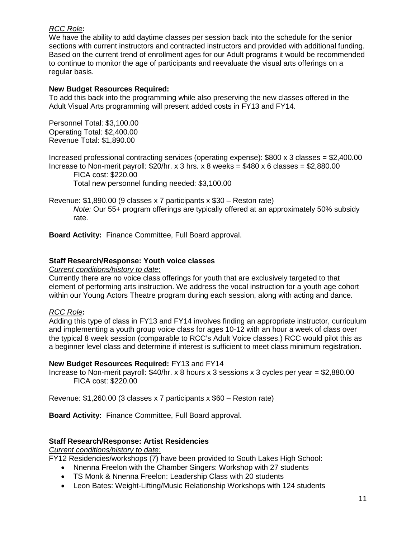### *RCC Role***:**

We have the ability to add daytime classes per session back into the schedule for the senior sections with current instructors and contracted instructors and provided with additional funding. Based on the current trend of enrollment ages for our Adult programs it would be recommended to continue to monitor the age of participants and reevaluate the visual arts offerings on a regular basis.

### **New Budget Resources Required:**

To add this back into the programming while also preserving the new classes offered in the Adult Visual Arts programming will present added costs in FY13 and FY14.

Personnel Total: \$3,100.00 Operating Total: \$2,400.00 Revenue Total: \$1,890.00

Increased professional contracting services (operating expense): \$800 x 3 classes = \$2,400.00 Increase to Non-merit payroll:  $$20/hr. x 3 hrs. x 8 weeks = $480 x 6 classes = $2,880.00$ 

FICA cost: \$220.00

Total new personnel funding needed: \$3,100.00

Revenue: \$1,890.00 (9 classes x 7 participants x \$30 – Reston rate) *Note:* Our 55+ program offerings are typically offered at an approximately 50% subsidy rate.

**Board Activity:** Finance Committee, Full Board approval.

### **Staff Research/Response: Youth voice classes**

*Current conditions/history to date*:

Currently there are no voice class offerings for youth that are exclusively targeted to that element of performing arts instruction. We address the vocal instruction for a youth age cohort within our Young Actors Theatre program during each session, along with acting and dance.

### *RCC Role***:**

Adding this type of class in FY13 and FY14 involves finding an appropriate instructor, curriculum and implementing a youth group voice class for ages 10-12 with an hour a week of class over the typical 8 week session (comparable to RCC's Adult Voice classes.) RCC would pilot this as a beginner level class and determine if interest is sufficient to meet class minimum registration.

### **New Budget Resources Required:** FY13 and FY14

Increase to Non-merit payroll: \$40/hr. x 8 hours x 3 sessions x 3 cycles per year = \$2,880.00 FICA cost: \$220.00

Revenue: \$1,260.00 (3 classes x 7 participants x \$60 – Reston rate)

**Board Activity:** Finance Committee, Full Board approval.

### **Staff Research/Response: Artist Residencies**

*Current conditions/history to date:*

FY12 Residencies/workshops (7) have been provided to South Lakes High School:

- Nnenna Freelon with the Chamber Singers: Workshop with 27 students
- TS Monk & Nnenna Freelon: Leadership Class with 20 students
- Leon Bates: Weight-Lifting/Music Relationship Workshops with 124 students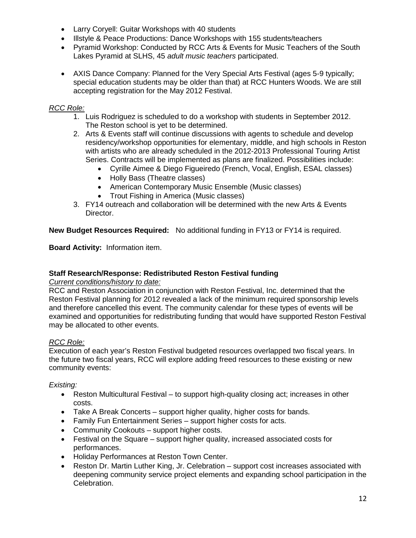- Larry Coryell: Guitar Workshops with 40 students
- Illstyle & Peace Productions: Dance Workshops with 155 students/teachers
- Pyramid Workshop: Conducted by RCC Arts & Events for Music Teachers of the South Lakes Pyramid at SLHS, 45 *adult music teachers* participated.
- AXIS Dance Company: Planned for the Very Special Arts Festival (ages 5-9 typically; special education students may be older than that) at RCC Hunters Woods. We are still accepting registration for the May 2012 Festival.

### *RCC Role:*

- 1. Luis Rodriguez is scheduled to do a workshop with students in September 2012. The Reston school is yet to be determined.
- 2. Arts & Events staff will continue discussions with agents to schedule and develop residency/workshop opportunities for elementary, middle, and high schools in Reston with artists who are already scheduled in the 2012-2013 Professional Touring Artist Series. Contracts will be implemented as plans are finalized. Possibilities include:
	- Cyrille Aimee & Diego Figueiredo (French, Vocal, English, ESAL classes)
	- Holly Bass (Theatre classes)
	- American Contemporary Music Ensemble (Music classes)
	- Trout Fishing in America (Music classes)
- 3. FY14 outreach and collaboration will be determined with the new Arts & Events Director.

**New Budget Resources Required:** No additional funding in FY13 or FY14 is required.

**Board Activity:** Information item.

### **Staff Research/Response: Redistributed Reston Festival funding**

*Current conditions/history to date:*

RCC and Reston Association in conjunction with Reston Festival, Inc. determined that the Reston Festival planning for 2012 revealed a lack of the minimum required sponsorship levels and therefore cancelled this event. The community calendar for these types of events will be examined and opportunities for redistributing funding that would have supported Reston Festival may be allocated to other events.

### *RCC Role:*

Execution of each year's Reston Festival budgeted resources overlapped two fiscal years. In the future two fiscal years, RCC will explore adding freed resources to these existing or new community events:

### *Existing:*

- Reston Multicultural Festival to support high-quality closing act; increases in other costs.
- Take A Break Concerts support higher quality, higher costs for bands.
- Family Fun Entertainment Series support higher costs for acts.
- Community Cookouts support higher costs.
- Festival on the Square support higher quality, increased associated costs for performances.
- Holiday Performances at Reston Town Center.
- Reston Dr. Martin Luther King, Jr. Celebration support cost increases associated with deepening community service project elements and expanding school participation in the Celebration.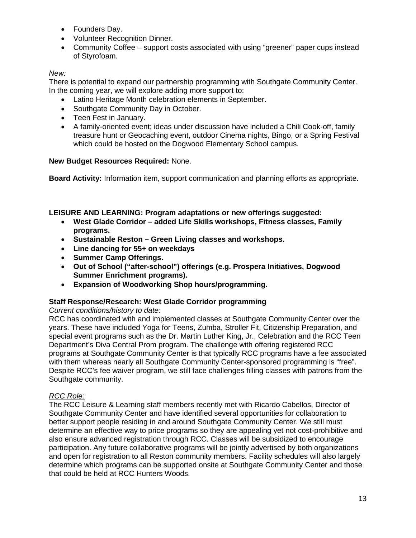- Founders Day.
- Volunteer Recognition Dinner.
- Community Coffee support costs associated with using "greener" paper cups instead of Styrofoam.

### *New:*

There is potential to expand our partnership programming with Southgate Community Center. In the coming year, we will explore adding more support to:

- Latino Heritage Month celebration elements in September.
- Southgate Community Day in October.
- Teen Fest in January.
- A family-oriented event; ideas under discussion have included a Chili Cook-off, family treasure hunt or Geocaching event, outdoor Cinema nights, Bingo, or a Spring Festival which could be hosted on the Dogwood Elementary School campus.

### **New Budget Resources Required:** None.

**Board Activity:** Information item, support communication and planning efforts as appropriate.

### **LEISURE AND LEARNING: Program adaptations or new offerings suggested:**

- **West Glade Corridor added Life Skills workshops, Fitness classes, Family programs.**
- **Sustainable Reston Green Living classes and workshops.**
- **Line dancing for 55+ on weekdays**
- **Summer Camp Offerings.**
- **Out of School ("after-school") offerings (e.g. Prospera Initiatives, Dogwood Summer Enrichment programs).**
- **Expansion of Woodworking Shop hours/programming.**

### **Staff Response/Research: West Glade Corridor programming**

### *Current conditions/history to date:*

RCC has coordinated with and implemented classes at Southgate Community Center over the years. These have included Yoga for Teens, Zumba, Stroller Fit, Citizenship Preparation, and special event programs such as the Dr. Martin Luther King, Jr., Celebration and the RCC Teen Department's Diva Central Prom program. The challenge with offering registered RCC programs at Southgate Community Center is that typically RCC programs have a fee associated with them whereas nearly all Southgate Community Center-sponsored programming is "free". Despite RCC's fee waiver program, we still face challenges filling classes with patrons from the Southgate community.

### *RCC Role:*

The RCC Leisure & Learning staff members recently met with Ricardo Cabellos, Director of Southgate Community Center and have identified several opportunities for collaboration to better support people residing in and around Southgate Community Center. We still must determine an effective way to price programs so they are appealing yet not cost-prohibitive and also ensure advanced registration through RCC. Classes will be subsidized to encourage participation. Any future collaborative programs will be jointly advertised by both organizations and open for registration to all Reston community members. Facility schedules will also largely determine which programs can be supported onsite at Southgate Community Center and those that could be held at RCC Hunters Woods.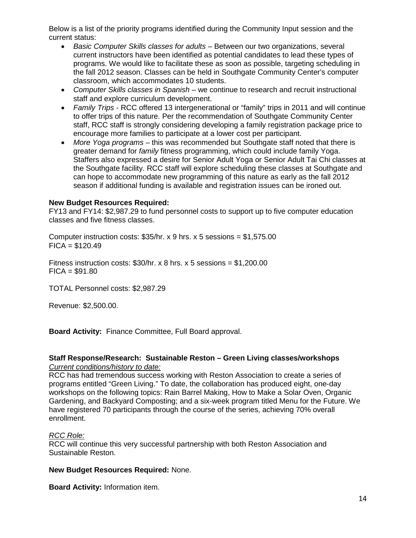Below is a list of the priority programs identified during the Community Input session and the current status:

- *Basic Computer Skills classes for adults* Between our two organizations, several current instructors have been identified as potential candidates to lead these types of programs. We would like to facilitate these as soon as possible, targeting scheduling in the fall 2012 season. Classes can be held in Southgate Community Center's computer classroom, which accommodates 10 students.
- *Computer Skills classes in Spanish* we continue to research and recruit instructional staff and explore curriculum development.
- *Family Trips* RCC offered 13 intergenerational or "family" trips in 2011 and will continue to offer trips of this nature. Per the recommendation of Southgate Community Center staff, RCC staff is strongly considering developing a family registration package price to encourage more families to participate at a lower cost per participant.
- *More Yoga programs* this was recommended but Southgate staff noted that there is greater demand for *family* fitness programming, which could include family Yoga. Staffers also expressed a desire for Senior Adult Yoga or Senior Adult Tai Chi classes at the Southgate facility. RCC staff will explore scheduling these classes at Southgate and can hope to accommodate new programming of this nature as early as the fall 2012 season if additional funding is available and registration issues can be ironed out.

#### **New Budget Resources Required:**

FY13 and FY14: \$2,987.29 to fund personnel costs to support up to five computer education classes and five fitness classes.

Computer instruction costs: \$35/hr. x 9 hrs. x 5 sessions = \$1,575.00  $FICA = $120.49$ 

Fitness instruction costs:  $$30/hr. x 8 hrs. x 5 sessions = $1,200.00$  $FICA = $91.80$ 

TOTAL Personnel costs: \$2,987.29

Revenue: \$2,500.00.

**Board Activity:** Finance Committee, Full Board approval.

#### **Staff Response/Research: Sustainable Reston – Green Living classes/workshops** *Current conditions/history to date:*

RCC has had tremendous success working with Reston Association to create a series of programs entitled "Green Living." To date, the collaboration has produced eight, one-day workshops on the following topics: Rain Barrel Making, How to Make a Solar Oven, Organic Gardening, and Backyard Composting; and a six-week program titled Menu for the Future. We have registered 70 participants through the course of the series, achieving 70% overall enrollment.

### *RCC Role:*

RCC will continue this very successful partnership with both Reston Association and Sustainable Reston.

#### **New Budget Resources Required:** None.

**Board Activity:** Information item.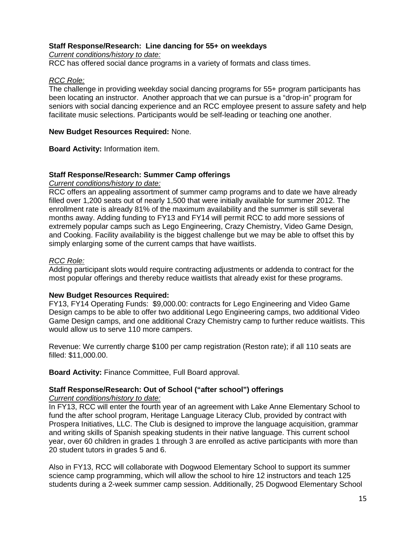#### **Staff Response/Research: Line dancing for 55+ on weekdays**

*Current conditions/history to date:*

RCC has offered social dance programs in a variety of formats and class times.

#### *RCC Role:*

The challenge in providing weekday social dancing programs for 55+ program participants has been locating an instructor. Another approach that we can pursue is a "drop-in" program for seniors with social dancing experience and an RCC employee present to assure safety and help facilitate music selections. Participants would be self-leading or teaching one another.

#### **New Budget Resources Required:** None.

**Board Activity:** Information item.

#### **Staff Response/Research: Summer Camp offerings**

*Current conditions/history to date:*

RCC offers an appealing assortment of summer camp programs and to date we have already filled over 1,200 seats out of nearly 1,500 that were initially available for summer 2012. The enrollment rate is already 81% of the maximum availability and the summer is still several months away. Adding funding to FY13 and FY14 will permit RCC to add more sessions of extremely popular camps such as Lego Engineering, Crazy Chemistry, Video Game Design, and Cooking. Facility availability is the biggest challenge but we may be able to offset this by simply enlarging some of the current camps that have waitlists.

#### *RCC Role:*

Adding participant slots would require contracting adjustments or addenda to contract for the most popular offerings and thereby reduce waitlists that already exist for these programs.

### **New Budget Resources Required:**

FY13, FY14 Operating Funds: \$9,000.00: contracts for Lego Engineering and Video Game Design camps to be able to offer two additional Lego Engineering camps, two additional Video Game Design camps, and one additional Crazy Chemistry camp to further reduce waitlists. This would allow us to serve 110 more campers.

Revenue: We currently charge \$100 per camp registration (Reston rate); if all 110 seats are filled: \$11,000.00.

**Board Activity:** Finance Committee, Full Board approval.

### **Staff Response/Research: Out of School ("after school") offerings**

#### *Current conditions/history to date:*

In FY13, RCC will enter the fourth year of an agreement with Lake Anne Elementary School to fund the after school program, Heritage Language Literacy Club, provided by contract with Prospera Initiatives, LLC. The Club is designed to improve the language acquisition, grammar and writing skills of Spanish speaking students in their native language. This current school year, over 60 children in grades 1 through 3 are enrolled as active participants with more than 20 student tutors in grades 5 and 6.

Also in FY13, RCC will collaborate with Dogwood Elementary School to support its summer science camp programming, which will allow the school to hire 12 instructors and teach 125 students during a 2-week summer camp session. Additionally, 25 Dogwood Elementary School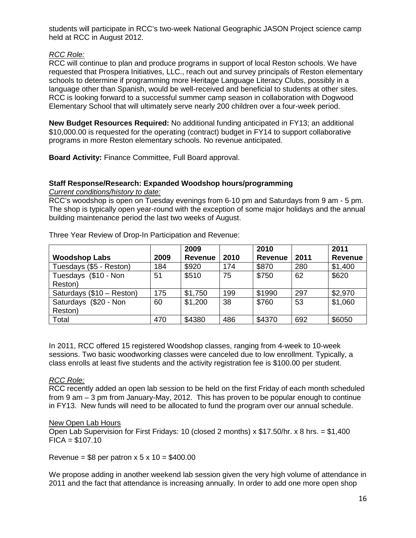students will participate in RCC's two-week National Geographic JASON Project science camp held at RCC in August 2012.

### *RCC Role:*

RCC will continue to plan and produce programs in support of local Reston schools. We have requested that Prospera Initiatives, LLC., reach out and survey principals of Reston elementary schools to determine if programming more Heritage Language Literacy Clubs, possibly in a language other than Spanish, would be well-received and beneficial to students at other sites. RCC is looking forward to a successful summer camp season in collaboration with Dogwood Elementary School that will ultimately serve nearly 200 children over a four-week period.

**New Budget Resources Required:** No additional funding anticipated in FY13; an additional \$10,000.00 is requested for the operating (contract) budget in FY14 to support collaborative programs in more Reston elementary schools. No revenue anticipated.

**Board Activity:** Finance Committee, Full Board approval.

### **Staff Response/Research: Expanded Woodshop hours/programming**

*Current conditions/history to date:*

RCC's woodshop is open on Tuesday evenings from 6-10 pm and Saturdays from 9 am - 5 pm. The shop is typically open year-round with the exception of some major holidays and the annual building maintenance period the last two weeks of August.

|                           |      | 2009           |      | 2010           |      | 2011           |
|---------------------------|------|----------------|------|----------------|------|----------------|
| <b>Woodshop Labs</b>      | 2009 | <b>Revenue</b> | 2010 | <b>Revenue</b> | 2011 | <b>Revenue</b> |
| Tuesdays (\$5 - Reston)   | 184  | \$920          | 174  | \$870          | 280  | \$1,400        |
| Tuesdays (\$10 - Non      | 51   | \$510          | 75   | \$750          | 62   | \$620          |
| Reston)                   |      |                |      |                |      |                |
| Saturdays (\$10 - Reston) | 175  | \$1,750        | 199  | \$1990         | 297  | \$2,970        |
| Saturdays (\$20 - Non     | 60   | \$1,200        | 38   | \$760          | 53   | \$1,060        |
| Reston)                   |      |                |      |                |      |                |
| Total                     | 470  | \$4380         | 486  | \$4370         | 692  | \$6050         |

Three Year Review of Drop-In Participation and Revenue:

In 2011, RCC offered 15 registered Woodshop classes, ranging from 4-week to 10-week sessions. Two basic woodworking classes were canceled due to low enrollment. Typically, a class enrolls at least five students and the activity registration fee is \$100.00 per student.

### *RCC Role:*

RCC recently added an open lab session to be held on the first Friday of each month scheduled from 9 am – 3 pm from January-May, 2012. This has proven to be popular enough to continue in FY13. New funds will need to be allocated to fund the program over our annual schedule.

### New Open Lab Hours

Open Lab Supervision for First Fridays: 10 (closed 2 months) x \$17.50/hr. x 8 hrs. = \$1,400  $FICA = $107.10$ 

Revenue =  $$8$  per patron x 5 x 10 =  $$400.00$ 

We propose adding in another weekend lab session given the very high volume of attendance in 2011 and the fact that attendance is increasing annually. In order to add one more open shop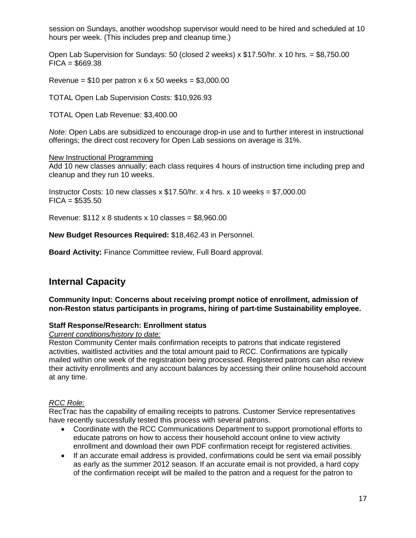session on Sundays, another woodshop supervisor would need to be hired and scheduled at 10 hours per week. (This includes prep and cleanup time.)

Open Lab Supervision for Sundays: 50 (closed 2 weeks)  $x$  \$17.50/hr.  $x$  10 hrs. = \$8,750.00  $FICA = $669.38$ 

Revenue =  $$10$  per patron x 6 x 50 weeks =  $$3,000.00$ 

TOTAL Open Lab Supervision Costs: \$10,926.93

TOTAL Open Lab Revenue: \$3,400.00

*Note:* Open Labs are subsidized to encourage drop-in use and to further interest in instructional offerings; the direct cost recovery for Open Lab sessions on average is 31%.

#### New Instructional Programming

Add 10 new classes annually; each class requires 4 hours of instruction time including prep and cleanup and they run 10 weeks.

Instructor Costs: 10 new classes  $x$  \$17.50/hr.  $x$  4 hrs.  $x$  10 weeks = \$7,000.00  $FICA = $535.50$ 

Revenue:  $$112 \times 8$  students x 10 classes =  $$8,960.00$ 

**New Budget Resources Required:** \$18,462.43 in Personnel.

**Board Activity:** Finance Committee review, Full Board approval.

## **Internal Capacity**

**Community Input: Concerns about receiving prompt notice of enrollment, admission of non-Reston status participants in programs, hiring of part-time Sustainability employee.**

### **Staff Response/Research: Enrollment status**

#### *Current conditions/history to date:*

Reston Community Center mails confirmation receipts to patrons that indicate registered activities, waitlisted activities and the total amount paid to RCC. Confirmations are typically mailed within one week of the registration being processed. Registered patrons can also review their activity enrollments and any account balances by accessing their online household account at any time.

### *RCC Role:*

RecTrac has the capability of emailing receipts to patrons. Customer Service representatives have recently successfully tested this process with several patrons.

- Coordinate with the RCC Communications Department to support promotional efforts to educate patrons on how to access their household account online to view activity enrollment and download their own PDF confirmation receipt for registered activities.
- If an accurate email address is provided, confirmations could be sent via email possibly as early as the summer 2012 season. If an accurate email is not provided, a hard copy of the confirmation receipt will be mailed to the patron and a request for the patron to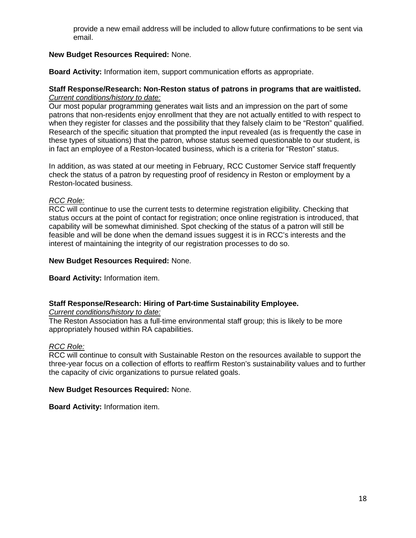provide a new email address will be included to allow future confirmations to be sent via email.

### **New Budget Resources Required:** None.

**Board Activity:** Information item, support communication efforts as appropriate.

#### **Staff Response/Research: Non-Reston status of patrons in programs that are waitlisted.** *Current conditions/history to date:*

Our most popular programming generates wait lists and an impression on the part of some patrons that non-residents enjoy enrollment that they are not actually entitled to with respect to when they register for classes and the possibility that they falsely claim to be "Reston" qualified. Research of the specific situation that prompted the input revealed (as is frequently the case in these types of situations) that the patron, whose status seemed questionable to our student, is in fact an employee of a Reston-located business, which is a criteria for "Reston" status.

In addition, as was stated at our meeting in February, RCC Customer Service staff frequently check the status of a patron by requesting proof of residency in Reston or employment by a Reston-located business.

### *RCC Role:*

RCC will continue to use the current tests to determine registration eligibility. Checking that status occurs at the point of contact for registration; once online registration is introduced, that capability will be somewhat diminished. Spot checking of the status of a patron will still be feasible and will be done when the demand issues suggest it is in RCC's interests and the interest of maintaining the integrity of our registration processes to do so.

#### **New Budget Resources Required:** None.

**Board Activity:** Information item.

### **Staff Response/Research: Hiring of Part-time Sustainability Employee.**

*Current conditions/history to date:*

The Reston Association has a full-time environmental staff group; this is likely to be more appropriately housed within RA capabilities.

### *RCC Role:*

RCC will continue to consult with Sustainable Reston on the resources available to support the three-year focus on a collection of efforts to reaffirm Reston's sustainability values and to further the capacity of civic organizations to pursue related goals.

### **New Budget Resources Required:** None.

**Board Activity:** Information item.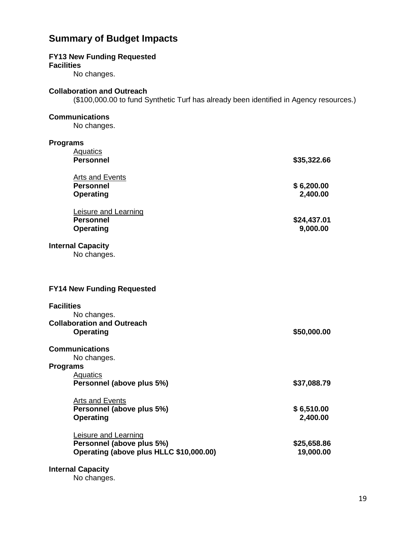## **Summary of Budget Impacts**

#### **FY13 New Funding Requested**

**Facilities**

No changes.

#### **Collaboration and Outreach**

(\$100,000.00 to fund Synthetic Turf has already been identified in Agency resources.)

### **Communications**

No changes.

| <b>Programs</b>                         |             |
|-----------------------------------------|-------------|
| <b>Aquatics</b>                         |             |
| <b>Personnel</b>                        | \$35,322.66 |
| <b>Arts and Events</b>                  |             |
| <b>Personnel</b>                        | \$6,200.00  |
| <b>Operating</b>                        | 2,400.00    |
|                                         |             |
| Leisure and Learning                    |             |
| <b>Personnel</b>                        | \$24,437.01 |
| <b>Operating</b>                        | 9,000.00    |
| <b>Internal Capacity</b>                |             |
| No changes.                             |             |
|                                         |             |
|                                         |             |
|                                         |             |
| <b>FY14 New Funding Requested</b>       |             |
| <b>Facilities</b>                       |             |
| No changes.                             |             |
| <b>Collaboration and Outreach</b>       |             |
| Operating                               | \$50,000.00 |
|                                         |             |
| <b>Communications</b>                   |             |
| No changes.                             |             |
| <b>Programs</b>                         |             |
| <b>Aquatics</b>                         |             |
| Personnel (above plus 5%)               | \$37,088.79 |
| Arts and Events                         |             |
| Personnel (above plus 5%)               | \$6,510.00  |
| <b>Operating</b>                        | 2,400.00    |
|                                         |             |
| Leisure and Learning                    |             |
| Personnel (above plus 5%)               | \$25,658.86 |
| Operating (above plus HLLC \$10,000.00) | 19,000.00   |
| <b>Internal Capacity</b>                |             |

No changes.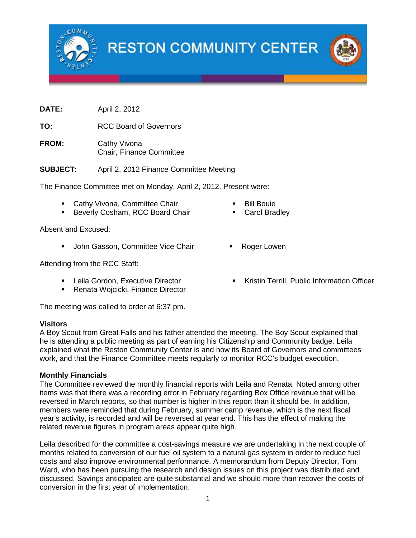

**RESTON COMMUNITY CENTER** 

**DATE:** April 2, 2012

**TO:** RCC Board of Governors

FROM: Cathy Vivona Chair, Finance Committee

**SUBJECT:** April 2, 2012 Finance Committee Meeting

The Finance Committee met on Monday, April 2, 2012. Present were:

- **Cathy Vivona, Committee Chair**
- **Beverly Cosham, RCC Board Chair**

Absent and Excused:

• John Gasson, Committee Vice Chair • Roger Lowen

Attending from the RCC Staff:

- **EXECUTE:** Leila Gordon, Executive Director
- **Renata Wojcicki, Finance Director**

The meeting was called to order at 6:37 pm.

### **Visitors**

A Boy Scout from Great Falls and his father attended the meeting. The Boy Scout explained that he is attending a public meeting as part of earning his Citizenship and Community badge. Leila explained what the Reston Community Center is and how its Board of Governors and committees work, and that the Finance Committee meets regularly to monitor RCC's budget execution.

#### **Monthly Financials**

The Committee reviewed the monthly financial reports with Leila and Renata. Noted among other items was that there was a recording error in February regarding Box Office revenue that will be reversed in March reports, so that number is higher in this report than it should be. In addition, members were reminded that during February, summer camp revenue, which is the next fiscal year's activity, is recorded and will be reversed at year end. This has the effect of making the related revenue figures in program areas appear quite high.

Leila described for the committee a cost-savings measure we are undertaking in the next couple of months related to conversion of our fuel oil system to a natural gas system in order to reduce fuel costs and also improve environmental performance. A memorandum from Deputy Director, Tom Ward, who has been pursuing the research and design issues on this project was distributed and discussed. Savings anticipated are quite substantial and we should more than recover the costs of conversion in the first year of implementation.

- Bill Bouie
- Carol Bradley
- 
- **Kristin Terrill, Public Information Officer**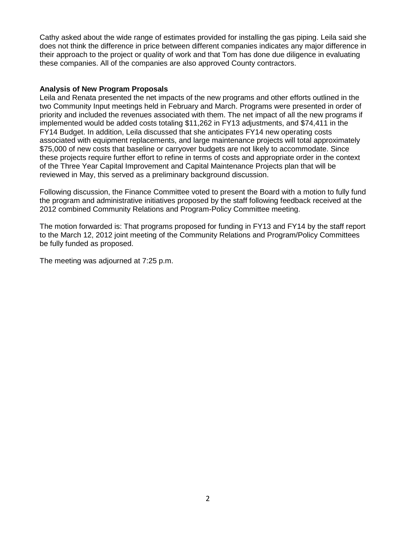Cathy asked about the wide range of estimates provided for installing the gas piping. Leila said she does not think the difference in price between different companies indicates any major difference in their approach to the project or quality of work and that Tom has done due diligence in evaluating these companies. All of the companies are also approved County contractors.

#### **Analysis of New Program Proposals**

Leila and Renata presented the net impacts of the new programs and other efforts outlined in the two Community Input meetings held in February and March. Programs were presented in order of priority and included the revenues associated with them. The net impact of all the new programs if implemented would be added costs totaling \$11,262 in FY13 adjustments, and \$74,411 in the FY14 Budget. In addition, Leila discussed that she anticipates FY14 new operating costs associated with equipment replacements, and large maintenance projects will total approximately \$75,000 of new costs that baseline or carryover budgets are not likely to accommodate. Since these projects require further effort to refine in terms of costs and appropriate order in the context of the Three Year Capital Improvement and Capital Maintenance Projects plan that will be reviewed in May, this served as a preliminary background discussion.

Following discussion, the Finance Committee voted to present the Board with a motion to fully fund the program and administrative initiatives proposed by the staff following feedback received at the 2012 combined Community Relations and Program-Policy Committee meeting.

The motion forwarded is: That programs proposed for funding in FY13 and FY14 by the staff report to the March 12, 2012 joint meeting of the Community Relations and Program/Policy Committees be fully funded as proposed.

The meeting was adjourned at 7:25 p.m.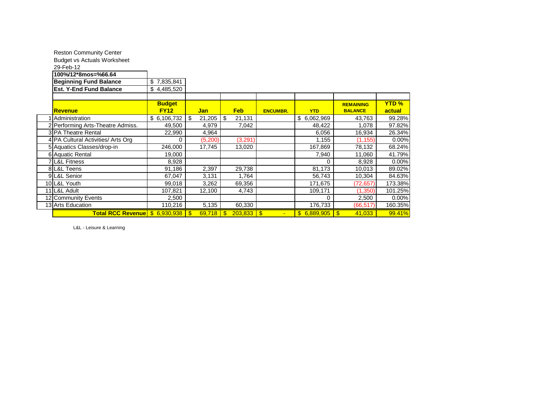| <b>Reston Community Center</b>                          |               |     |            |              |              |                 |                     |                  |             |
|---------------------------------------------------------|---------------|-----|------------|--------------|--------------|-----------------|---------------------|------------------|-------------|
| <b>Budget vs Actuals Worksheet</b>                      |               |     |            |              |              |                 |                     |                  |             |
| 29-Feb-12                                               |               |     |            |              |              |                 |                     |                  |             |
| 100%/12*8mos=%66.64                                     |               |     |            |              |              |                 |                     |                  |             |
| <b>Beginning Fund Balance</b>                           | \$7,835,841   |     |            |              |              |                 |                     |                  |             |
| <b>Est. Y-End Fund Balance</b>                          | \$4,485,520   |     |            |              |              |                 |                     |                  |             |
|                                                         |               |     |            |              |              |                 |                     |                  |             |
|                                                         | <b>Budget</b> |     |            |              |              |                 |                     | <b>REMAINING</b> | <b>YTD%</b> |
| <b>Revenue</b>                                          | <b>FY12</b>   |     | <b>Jan</b> |              | <b>Feb</b>   | <b>ENCUMBR.</b> | <b>YTD</b>          | <b>BALANCE</b>   | actual      |
| 1 Administration                                        | \$6,106,732   | -\$ | 21,205     | \$           | 21,131       |                 | \$6,062,969         | 43,763           | 99.28%      |
| 2 Performing Arts-Theatre Admiss.                       | 49,500        |     | 4,979      |              | 7,042        |                 | 48,422              | 1,078            | 97.82%      |
| 3 PA Theatre Rental                                     | 22,990        |     | 4,964      |              |              |                 | 6,056               | 16,934           | 26.34%      |
| 4 PA Cultural Activities/ Arts Org                      | 0             |     | (5,200)    |              | (3, 291)     |                 | 1,155               | (1, 155)         | 0.00%       |
| 5 Aquatics Classes/drop-in                              | 246,000       |     | 17,745     |              | 13,020       |                 | 167,869             | 78,132           | 68.24%      |
| 6 Aquatic Rental                                        | 19,000        |     |            |              |              |                 | 7,940               | 11,060           | 41.79%      |
| <b>7 L&amp;L Fitness</b>                                | 8,928         |     |            |              |              |                 | 0                   | 8,928            | 0.00%       |
| 8 L&L Teens                                             | 91,186        |     | 2,397      |              | 29,738       |                 | 81,173              | 10,013           | 89.02%      |
| 9 L&L Senior                                            | 67,047        |     | 3,131      |              | 1,764        |                 | 56,743              | 10,304           | 84.63%      |
| 10 L&L Youth                                            | 99,018        |     | 3,262      |              | 69,356       |                 | 171,675             | (72, 657)        | 173.38%     |
| 11 L&L Adult                                            | 107,821       |     | 12,100     |              | 4,743        |                 | 109,171             | (1,350)          | 101.25%     |
| 12 Community Events                                     | 2,500         |     |            |              |              |                 | 0                   | 2,500            | 0.00%       |
| 13 Arts Education                                       | 110,216       |     | 5,135      |              | 60,330       |                 | 176,733             | (66, 517)        | 160.35%     |
| Total RCC Revenue $\frac{1}{3}$ 6,930,938 $\frac{1}{3}$ |               |     | 69,718     | $\mathbf{s}$ | $203,833$ \$ |                 | $$6,889,905$ \ \ \$ | 41,033           | 99.41%      |

L&L - Leisure & Learning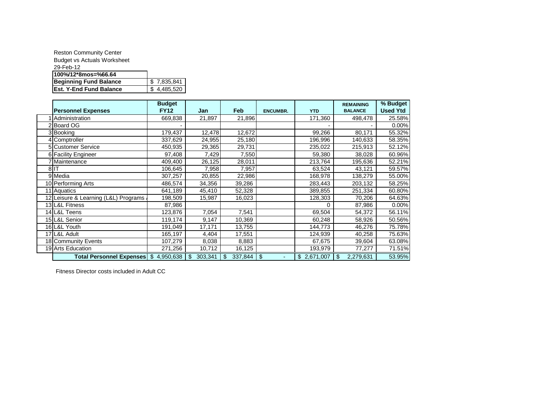| <b>Reston Community Center</b>     |             |
|------------------------------------|-------------|
| <b>Budget vs Actuals Worksheet</b> |             |
| 29-Feb-12                          |             |
| 100%/12*8mos=%66.64                |             |
| <b>Beginning Fund Balance</b>      | \$7.835.841 |
| <b>Est. Y-End Fund Balance</b>     | \$4.485.520 |

|                                      | <b>Budget</b> |               |               |                 |             | <b>REMAINING</b> | % Budget        |
|--------------------------------------|---------------|---------------|---------------|-----------------|-------------|------------------|-----------------|
| <b>Personnel Expenses</b>            | <b>FY12</b>   | Jan           | <b>Feb</b>    | <b>ENCUMBR.</b> | <b>YTD</b>  | <b>BALANCE</b>   | <b>Used Ytd</b> |
| Administration                       | 669,838       | 21,897        | 21,896        |                 | 171,360     | 498,478          | 25.58%          |
| 2 Board OG                           |               |               |               |                 |             |                  | 0.00%           |
| 3 Booking                            | 179,437       | 12,478        | 12,672        |                 | 99,266      | 80,171           | 55.32%          |
| 4 Comptroller                        | 337,629       | 24,955        | 25,180        |                 | 196,996     | 140,633          | 58.35%          |
| 5 Customer Service                   | 450,935       | 29,365        | 29,731        |                 | 235,022     | 215,913          | 52.12%          |
| 6 Facility Engineer                  | 97,408        | 7,429         | 7,550         |                 | 59,380      | 38,028           | 60.96%          |
| 7 Maintenance                        | 409,400       | 26,125        | 28,011        |                 | 213,764     | 195,636          | 52.21%          |
| 8IIT                                 | 106,645       | 7,958         | 7,957         |                 | 63,524      | 43,121           | 59.57%          |
| 9 Media                              | 307,257       | 20,855        | 22,986        |                 | 168,978     | 138,279          | 55.00%          |
| 10 Performing Arts                   | 486,574       | 34,356        | 39,286        |                 | 283,443     | 203,132          | 58.25%          |
| 11 Aquatics                          | 641,189       | 45,410        | 52,328        |                 | 389,855     | 251,334          | 60.80%          |
| 12 Leisure & Learning (L&L) Programs | 198,509       | 15,987        | 16,023        |                 | 128,303     | 70,206           | 64.63%          |
| 13 L&L Fitness                       | 87,986        |               |               |                 | 0           | 87,986           | 0.00%           |
| 14 L&L Teens                         | 123,876       | 7,054         | 7,541         |                 | 69,504      | 54,372           | 56.11%          |
| 15 L&L Senior                        | 119,174       | 9,147         | 10,369        |                 | 60,248      | 58,926           | 50.56%          |
| 16 L&L Youth                         | 191,049       | 17,171        | 13,755        |                 | 144,773     | 46,276           | 75.78%          |
| 17 L&L Adult                         | 165,197       | 4,404         | 17,551        |                 | 124,939     | 40,258           | 75.63%          |
| 18 Community Events                  | 107,279       | 8,038         | 8,883         |                 | 67,675      | 39,604           | 63.08%          |
| 19 Arts Education                    | 271,256       | 10,712        | 16,125        |                 | 193,979     | 77,277           | 71.51%          |
| <b>Total Personnel Expenses</b>      | \$4,950,638   | 303,341<br>\$ | 337,844<br>\$ | \$<br>٠         | \$2,671,007 | 2,279,631<br>\$  | 53.95%          |

Fitness Director costs included in Adult CC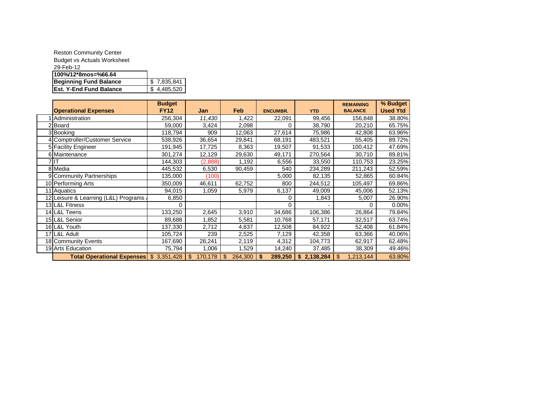| <b>Reston Community Center</b>     |             |
|------------------------------------|-------------|
| <b>Budget vs Actuals Worksheet</b> |             |
| 29-Feb-12                          |             |
| 100%/12*8mos=%66.64                |             |
| <b>Beginning Fund Balance</b>      | \$7.835.841 |
| <b>Est. Y-End Fund Balance</b>     | \$4.485.520 |

|                                         | <b>Budget</b> |                           |               |                 |             | <b>REMAINING</b> | % Budget        |
|-----------------------------------------|---------------|---------------------------|---------------|-----------------|-------------|------------------|-----------------|
| <b>Operational Expenses</b>             | <b>FY12</b>   | Jan                       | Feb           | <b>ENCUMBR.</b> | <b>YTD</b>  | <b>BALANCE</b>   | <b>Used Ytd</b> |
| Administration                          | 256,304       | 11,430                    | 1,422         | 22,091          | 99,456      | 156,848          | 38.80%          |
| 2 Board                                 | 59,000        | 3,424                     | 2,098         | 0               | 38,790      | 20,210           | 65.75%          |
| 3 Booking                               | 118,794       | 909                       | 12,063        | 27,614          | 75,986      | 42,808           | 63.96%          |
| 4 Comptroller/Customer Service          | 538,926       | 36,654                    | 29,841        | 68,191          | 483,521     | 55,405           | 89.72%          |
| 5 Facility Engineer                     | 191,945       | 17,725                    | 8,363         | 19,507          | 91,533      | 100,412          | 47.69%          |
| 6 Maintenance                           | 301,274       | 12,129                    | 29,630        | 49,171          | 270,564     | 30,710           | 89.81%          |
|                                         | 144,303       | (2,888)                   | 1,192         | 6,556           | 33,550      | 110,753          | 23.25%          |
| 8 Media                                 | 445,532       | 6,530                     | 90,459        | 540             | 234,289     | 211,243          | 52.59%          |
| 9 Community Partnerships                | 135,000       | (100)                     |               | 5,000           | 82,135      | 52,865           | 60.84%          |
| 10 Performing Arts                      | 350,009       | 46,611                    | 62,752        | 800             | 244,512     | 105,497          | 69.86%          |
| 11 Aquatics                             | 94,015        | 1,059                     | 5,979         | 6,137           | 49,009      | 45,006           | 52.13%          |
| 12 Leisure & Learning (L&L) Programs    | 6,850         |                           |               | 0               | 1,843       | 5,007            | 26.90%          |
| 13 L&L Fitness                          | 0             |                           |               | 0               |             |                  | 0.00%           |
| 14 L&L Teens                            | 133,250       | 2,645                     | 3,910         | 34,686          | 106,386     | 26,864           | 79.84%          |
| 15 L&L Senior                           | 89,688        | 1,852                     | 5,581         | 10,768          | 57,171      | 32,517           | 63.74%          |
| 16 L&L Youth                            | 137,330       | 2,712                     | 4,837         | 12,508          | 84,922      | 52,408           | 61.84%          |
| 17 L&L Adult                            | 105,724       | 239                       | 2,525         | 7,129           | 42,358      | 63,366           | 40.06%          |
| 18 Community Events                     | 167,690       | 28,241                    | 2,119         | 4,312           | 104,773     | 62,917           | 62.48%          |
| 19 Arts Education                       | 75,794        | 1,006                     | 1,529         | 14,240          | 37,485      | 38,309           | 49.46%          |
| Total Operational Expenses \$ 3,351,428 |               | $\mathfrak{s}$<br>170,178 | 264,300<br>\$ | 289,250<br>\$   | \$2,138,284 | \$<br>1,213,144  | 63.80%          |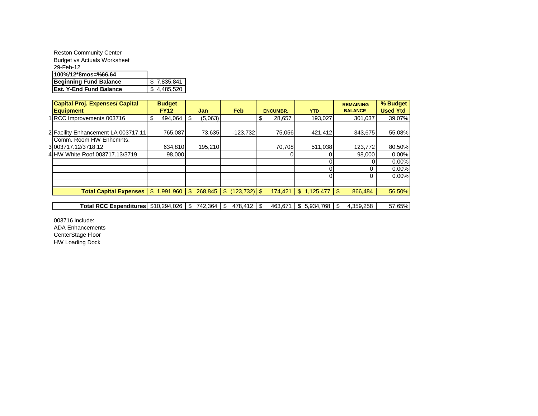| <b>Reston Community Center</b>     |             |
|------------------------------------|-------------|
| <b>Budget vs Actuals Worksheet</b> |             |
| 29-Feb-12                          |             |
| 100%/12*8mos=%66.64                |             |
| <b>Beginning Fund Balance</b>      | \$7,835,841 |
| <b>Est. Y-End Fund Balance</b>     | \$4,485,520 |

| <b>Capital Proj. Expenses/ Capital</b> | <b>Budget</b>              |              |              |                 |                 |                           | <b>REMAINING</b> | % Budget        |
|----------------------------------------|----------------------------|--------------|--------------|-----------------|-----------------|---------------------------|------------------|-----------------|
| <b>Equipment</b>                       | <b>FY12</b>                |              | <b>Jan</b>   | <b>Feb</b>      | <b>ENCUMBR.</b> | <b>YTD</b>                | <b>BALANCE</b>   | <b>Used Ytd</b> |
| 1 RCC Improvements 003716              | 494,064<br>S               | S            | (5,063)      |                 | \$<br>28,657    | 193.027                   | 301.037          | 39.07%          |
| 2 Facility Enhancement LA 003717.11    | 765,087                    |              | 73,635       | $-123,732$      | 75,056          | 421,412                   | 343.675          | 55.08%          |
| Comm. Room HW Enhamnts.                |                            |              |              |                 |                 |                           |                  |                 |
| 3003717.12/3718.12                     | 634,810                    |              | 195,210      |                 | 70,708          | 511,038                   | 123,772          | 80.50%          |
| 4 HW White Roof 003717.13/3719         | 98,000                     |              |              |                 |                 |                           | 98,000           | 0.00%           |
|                                        |                            |              |              |                 |                 |                           |                  | 0.00%           |
|                                        |                            |              |              |                 |                 |                           | 0                | 0.00%           |
|                                        |                            |              |              |                 |                 |                           | 0                | 0.00%           |
|                                        |                            |              |              |                 |                 |                           |                  |                 |
| <b>Total Capital Expenses</b>          | 1,991,960<br>$\mathbf{\$}$ | $\mathbb{S}$ | $268,845$ \$ | $(123, 732)$ \$ |                 | $174,421$ \$ 1,125,477 \$ | 866.484          | 56.50%          |
|                                        |                            |              |              |                 |                 |                           |                  |                 |
| Total RCC Expenditures   \$10.294.026  |                            | \$           | 742.364      | \$              | 463.671         |                           | 4.359.258        | 57.65%          |

003716 include: ADA Enhancements CenterStage Floor HW Loading Dock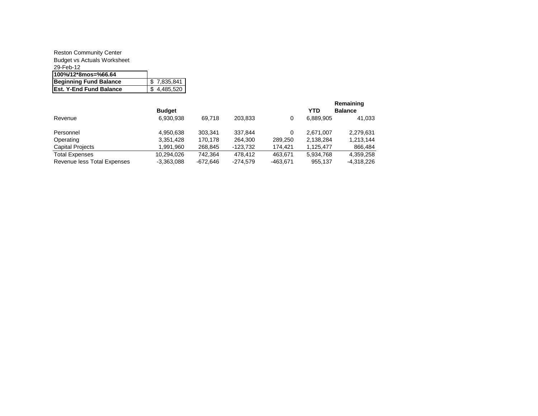#### Reston Community Center Budget vs Actuals Worksheet 29-Feb-12 **100%/12\*8mos=%66.64 Beginning Fund Balance | \$ 7,835,841 Est. Y-End Fund Balance 4 4,485,520**

|                             | <b>Budget</b> |            |            |          | <b>YTD</b> | Remaining<br><b>Balance</b> |
|-----------------------------|---------------|------------|------------|----------|------------|-----------------------------|
| Revenue                     | 6,930,938     | 69.718     | 203,833    | 0        | 6.889.905  | 41,033                      |
| Personnel                   | 4,950,638     | 303.341    | 337.844    | $\Omega$ | 2.671.007  | 2,279,631                   |
| Operating                   | 3,351,428     | 170.178    | 264.300    | 289.250  | 2,138,284  | 1,213,144                   |
| <b>Capital Projects</b>     | 1.991.960     | 268.845    | -123.732   | 174.421  | 1.125.477  | 866,484                     |
| <b>Total Expenses</b>       | 10.294.026    | 742.364    | 478.412    | 463.671  | 5,934,768  | 4,359,258                   |
| Revenue less Total Expenses | $-3,363,088$  | $-672.646$ | $-274.579$ | -463,671 | 955.137    | -4.318.226                  |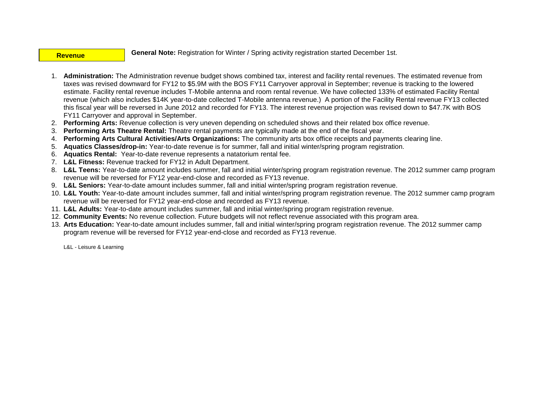#### **Revenue**

**General Note:** Registration for Winter / Spring activity registration started December 1st.

- 1. **Administration:** The Administration revenue budget shows combined tax, interest and facility rental revenues. The estimated revenue from taxes was revised downward for FY12 to \$5.9M with the BOS FY11 Carryover approval in September; revenue is tracking to the lowered estimate. Facility rental revenue includes T-Mobile antenna and room rental revenue. We have collected 133% of estimated Facility Rental revenue (which also includes \$14K year-to-date collected T-Mobile antenna revenue.) A portion of the Facility Rental revenue FY13 collected this fiscal year will be reversed in June 2012 and recorded for FY13. The interest revenue projection was revised down to \$47.7K with BOS FY11 Carryover and approval in September.
- 2. **Performing Arts:** Revenue collection is very uneven depending on scheduled shows and their related box office revenue.
- 3. **Performing Arts Theatre Rental:** Theatre rental payments are typically made at the end of the fiscal year.
- 4. **Performing Arts Cultural Activities/Arts Organizations:** The community arts box office receipts and payments clearing line.
- 5. **Aquatics Classes/drop-in:** Year-to-date revenue is for summer, fall and initial winter/spring program registration.
- 6. **Aquatics Rental:** Year-to-date revenue represents a natatorium rental fee.
- 7. **L&L Fitness:** Revenue tracked for FY12 in Adult Department.
- 8. **L&L Teens:** Year-to-date amount includes summer, fall and initial winter/spring program registration revenue. The 2012 summer camp program revenue will be reversed for FY12 year-end-close and recorded as FY13 revenue.
- 9. **L&L Seniors:** Year-to-date amount includes summer, fall and initial winter/spring program registration revenue.
- 10. **L&L Youth:** Year-to-date amount includes summer, fall and initial winter/spring program registration revenue. The 2012 summer camp program revenue will be reversed for FY12 year-end-close and recorded as FY13 revenue.
- 11. **L&L Adults:** Year-to-date amount includes summer, fall and initial winter/spring program registration revenue.
- 12. **Community Events:** No revenue collection. Future budgets will not reflect revenue associated with this program area.
- 13. **Arts Education:** Year-to-date amount includes summer, fall and initial winter/spring program registration revenue. The 2012 summer camp program revenue will be reversed for FY12 year-end-close and recorded as FY13 revenue.

L&L - Leisure & Learning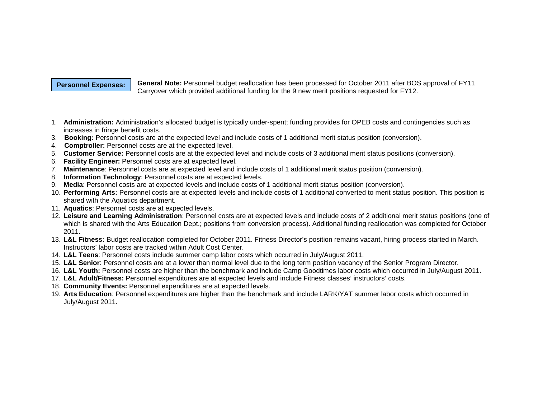#### **Personnel Expenses:**

**General Note:** Personnel budget reallocation has been processed for October 2011 after BOS approval of FY11 Carryover which provided additional funding for the 9 new merit positions requested for FY12.

- 1. **Administration:** Administration's allocated budget is typically under-spent; funding provides for OPEB costs and contingencies such as increases in fringe benefit costs.
- 3. **Booking:** Personnel costs are at the expected level and include costs of 1 additional merit status position (conversion).
- 4. **Comptroller:** Personnel costs are at the expected level.
- 5. **Customer Service:** Personnel costs are at the expected level and include costs of 3 additional merit status positions (conversion).
- 6. **Facility Engineer:** Personnel costs are at expected level.
- 7. **Maintenance**: Personnel costs are at expected level and include costs of 1 additional merit status position (conversion).
- 8. **Information Technology**: Personnel costs are at expected levels.
- 9. **Media**: Personnel costs are at expected levels and include costs of 1 additional merit status position (conversion).
- 10. **Performing Arts:** Personnel costs are at expected levels and include costs of 1 additional converted to merit status position. This position is shared with the Aquatics department.
- 11. **Aquatics**: Personnel costs are at expected levels.
- 12. **Leisure and Learning Administration**: Personnel costs are at expected levels and include costs of 2 additional merit status positions (one of which is shared with the Arts Education Dept.; positions from conversion process). Additional funding reallocation was completed for October 2011.
- 13. **L&L Fitness:** Budget reallocation completed for October 2011. Fitness Director's position remains vacant, hiring process started in March. Instructors' labor costs are tracked within Adult Cost Center.
- 14. **L&L Teens**: Personnel costs include summer camp labor costs which occurred in July/August 2011.
- 15. **L&L Senior**: Personnel costs are at a lower than normal level due to the long term position vacancy of the Senior Program Director.
- 16. **L&L Youth:** Personnel costs are higher than the benchmark and include Camp Goodtimes labor costs which occurred in July/August 2011.
- 17. **L&L Adult/Fitness:** Personnel expenditures are at expected levels and include Fitness classes' instructors' costs.
- 18. **Community Events:** Personnel expenditures are at expected levels.
- 19. **Arts Education**: Personnel expenditures are higher than the benchmark and include LARK/YAT summer labor costs which occurred in July/August 2011.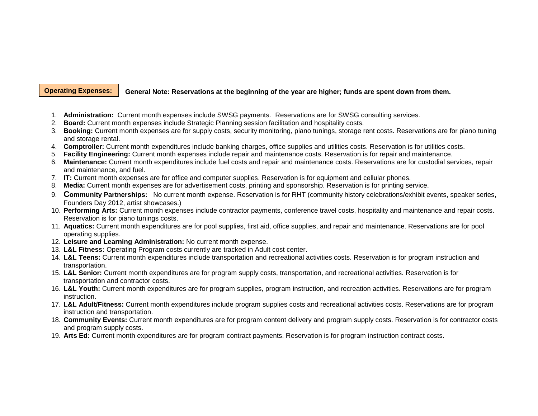#### **General Note: Reservations at the beginning of the year are higher; funds are spent down from them. Operating Expenses:**

- 1. **Administration:** Current month expenses include SWSG payments. Reservations are for SWSG consulting services.
- 2. **Board:** Current month expenses include Strategic Planning session facilitation and hospitality costs.
- 3. **Booking:** Current month expenses are for supply costs, security monitoring, piano tunings, storage rent costs. Reservations are for piano tuning and storage rental.
- 4. **Comptroller:** Current month expenditures include banking charges, office supplies and utilities costs. Reservation is for utilities costs.
- 5. **Facility Engineering:** Current month expenses include repair and maintenance costs. Reservation is for repair and maintenance.
- 6. **Maintenance:** Current month expenditures include fuel costs and repair and maintenance costs. Reservations are for custodial services, repair and maintenance, and fuel.
- 7. **IT:** Current month expenses are for office and computer supplies. Reservation is for equipment and cellular phones.
- 8. **Media:** Current month expenses are for advertisement costs, printing and sponsorship. Reservation is for printing service.
- 9. **Community Partnerships:** No current month expense. Reservation is for RHT (community history celebrations/exhibit events, speaker series, Founders Day 2012, artist showcases.)
- 10. **Performing Arts:** Current month expenses include contractor payments, conference travel costs, hospitality and maintenance and repair costs. Reservation is for piano tunings costs.
- 11. **Aquatics:** Current month expenditures are for pool supplies, first aid, office supplies, and repair and maintenance. Reservations are for pool operating supplies.
- 12. **Leisure and Learning Administration:** No current month expense.
- 13. **L&L Fitness:** Operating Program costs currently are tracked in Adult cost center.
- 14. **L&L Teens:** Current month expenditures include transportation and recreational activities costs. Reservation is for program instruction and transportation.
- 15. **L&L Senior:** Current month expenditures are for program supply costs, transportation, and recreational activities. Reservation is for transportation and contractor costs.
- 16. **L&L Youth:** Current month expenditures are for program supplies, program instruction, and recreation activities. Reservations are for program instruction.
- 17. **L&L Adult/Fitness:** Current month expenditures include program supplies costs and recreational activities costs. Reservations are for program instruction and transportation.
- 18. **Community Events:** Current month expenditures are for program content delivery and program supply costs. Reservation is for contractor costs and program supply costs.
- 19. **Arts Ed:** Current month expenditures are for program contract payments. Reservation is for program instruction contract costs.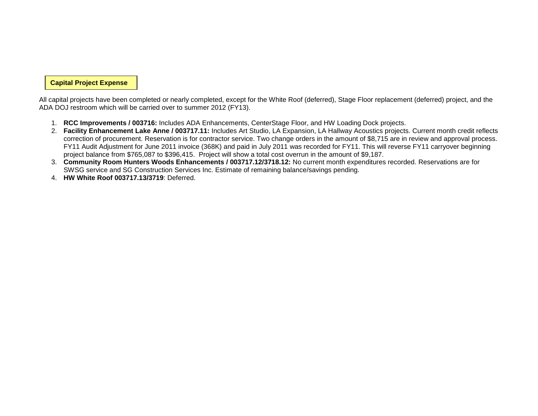**Capital Project Expense**

All capital projects have been completed or nearly completed, except for the White Roof (deferred), Stage Floor replacement (deferred) project, and the ADA DOJ restroom which will be carried over to summer 2012 (FY13).

- 1. **RCC Improvements / 003716:** Includes ADA Enhancements, CenterStage Floor, and HW Loading Dock projects.
- 2. **Facility Enhancement Lake Anne / 003717.11:** Includes Art Studio, LA Expansion, LA Hallway Acoustics projects. Current month credit reflects correction of procurement. Reservation is for contractor service. Two change orders in the amount of \$8,715 are in review and approval process. FY11 Audit Adjustment for June 2011 invoice (368K) and paid in July 2011 was recorded for FY11. This will reverse FY11 carryover beginning project balance from \$765,087 to \$396,415. Project will show a total cost overrun in the amount of \$9,187.
- 3. **Community Room Hunters Woods Enhancements / 003717.12/3718.12:** No current month expenditures recorded. Reservations are for SWSG service and SG Construction Services Inc. Estimate of remaining balance/savings pending.
- 4. **HW White Roof 003717.13/3719**: Deferred.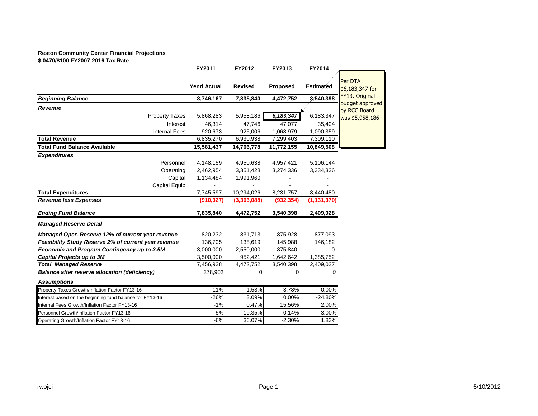## **Reston Community Center Financial Projections**

**\$.0470/\$100 FY2007-2016 Tax Rate**

|                                                          | FY2011             | FY2012         | FY2013          | FY2014        |                                   |
|----------------------------------------------------------|--------------------|----------------|-----------------|---------------|-----------------------------------|
|                                                          | <b>Yend Actual</b> | <b>Revised</b> | <b>Proposed</b> | Estimated     | Per DTA<br>\$6,183,347 for        |
| <b>Beginning Balance</b>                                 | 8,746,167          | 7,835,840      | 4,472,752       | 3,540,398     | FY13, Original<br>budget approved |
| Revenue                                                  |                    |                |                 |               | by RCC Board                      |
| <b>Property Taxes</b>                                    | 5,868,283          | 5,958,186      | 6, 183, 347     | 6,183,347     | was \$5,958,186                   |
| Interest                                                 | 46,314             | 47,746         | 47,077          | 35,404        |                                   |
| <b>Internal Fees</b>                                     | 920,673            | 925,006        | 1,068,979       | 1,090,359     |                                   |
| <b>Total Revenue</b>                                     | 6,835,270          | 6,930,938      | 7,299,403       | 7,309,110     |                                   |
| <b>Total Fund Balance Available</b>                      | 15,581,437         | 14,766,778     | 11,772,155      | 10,849,508    |                                   |
| <b>Expenditures</b>                                      |                    |                |                 |               |                                   |
| Personnel                                                | 4,148,159          | 4,950,638      | 4,957,421       | 5,106,144     |                                   |
| Operating                                                | 2,462,954          | 3,351,428      | 3,274,336       | 3,334,336     |                                   |
| Capital                                                  | 1,134,484          | 1,991,960      |                 |               |                                   |
| Capital Equip                                            |                    |                |                 |               |                                   |
| <b>Total Expenditures</b>                                | 7,745,597          | 10,294,026     | 8,231,757       | 8,440,480     |                                   |
| <b>Revenue less Expenses</b>                             | (910, 327)         | (3,363,088)    | (932, 354)      | (1, 131, 370) |                                   |
| <b>Ending Fund Balance</b>                               | 7,835,840          | 4,472,752      | 3,540,398       | 2,409,028     |                                   |
| <b>Managed Reserve Detail</b>                            |                    |                |                 |               |                                   |
| Managed Oper. Reserve 12% of current year revenue        | 820,232            | 831,713        | 875,928         | 877,093       |                                   |
| Feasibility Study Reserve 2% of current year revenue     | 136,705            | 138,619        | 145,988         | 146,182       |                                   |
| <b>Economic and Program Contingency up to 3.5M</b>       | 3,000,000          | 2,550,000      | 875,840         | $\mathbf 0$   |                                   |
| <b>Capital Projects up to 3M</b>                         | 3,500,000          | 952,421        | 1,642,642       | 1,385,752     |                                   |
| <b>Total Managed Reserve</b>                             | 7,456,938          | 4,472,752      | 3,540,398       | 2,409,027     |                                   |
| <b>Balance after reserve allocation (deficiency)</b>     | 378,902            | 0              | $\mathbf 0$     | 0             |                                   |
| <b>Assumptions</b>                                       |                    |                |                 |               |                                   |
| Property Taxes Growth/Inflation Factor FY13-16           | $-11%$             | 1.53%          | 3.78%           | 0.00%         |                                   |
| Interest based on the beginning fund balance for FY13-16 | $-26%$             | 3.09%          | 0.00%           | $-24.80%$     |                                   |
| Internal Fees Growth/Inflation Factor FY13-16            | $-1%$              | 0.47%          | 15.56%          | 2.00%         |                                   |
| Personnel Growth/Inflation Factor FY13-16                | 5%                 | 19.35%         | 0.14%           | 3.00%         |                                   |
| Operating Growth/Inflation Factor FY13-16                | $-6%$              | 36.07%         | $-2.30%$        | 1.83%         |                                   |
|                                                          |                    |                |                 |               |                                   |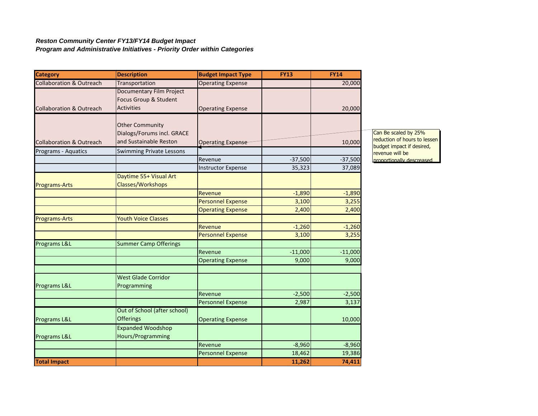#### *Reston Community Center FY13/FY14 Budget Impact Program and Administrative Initiatives - Priority Order within Categories*

| <b>Category</b>                     | <b>Description</b>                                                            | <b>Budget Impact Type</b> | <b>FY13</b> | <b>FY14</b> |                                              |
|-------------------------------------|-------------------------------------------------------------------------------|---------------------------|-------------|-------------|----------------------------------------------|
| <b>Collaboration &amp; Outreach</b> | Transportation                                                                | <b>Operating Expense</b>  |             | 20,000      |                                              |
| <b>Collaboration &amp; Outreach</b> | <b>Documentary Film Project</b><br>Focus Group & Student<br><b>Activities</b> | <b>Operating Expense</b>  |             | 20,000      |                                              |
|                                     | <b>Other Community</b><br>Dialogs/Forums incl. GRACE                          |                           |             |             | Can Be scaled by 25%                         |
| <b>Collaboration &amp; Outreach</b> | and Sustainable Reston                                                        | Operating Expense         |             | 10,000      | reduction of hours to less                   |
| Programs - Aquatics                 | <b>Swimming Private Lessons</b>                                               |                           |             |             | budget impact if desired,<br>revenue will be |
|                                     |                                                                               | Revenue                   | $-37,500$   | $-37,500$   | proportionally descreased                    |
|                                     |                                                                               | <b>Instructor Expense</b> | 35,323      | 37,089      |                                              |
| <b>Programs-Arts</b>                | Daytime 55+ Visual Art<br>Classes/Workshops                                   |                           |             |             |                                              |
|                                     |                                                                               | Revenue                   | $-1,890$    | $-1,890$    |                                              |
|                                     |                                                                               | <b>Personnel Expense</b>  | 3,100       | 3,255       |                                              |
|                                     |                                                                               | <b>Operating Expense</b>  | 2,400       | 2,400       |                                              |
| <b>Programs-Arts</b>                | <b>Youth Voice Classes</b>                                                    |                           |             |             |                                              |
|                                     |                                                                               | Revenue                   | $-1,260$    | $-1,260$    |                                              |
|                                     |                                                                               | <b>Personnel Expense</b>  | 3,100       | 3,255       |                                              |
| Programs L&L                        | <b>Summer Camp Offerings</b>                                                  |                           |             |             |                                              |
|                                     |                                                                               | Revenue                   | $-11,000$   | $-11,000$   |                                              |
|                                     |                                                                               | <b>Operating Expense</b>  | 9,000       | 9,000       |                                              |
| Programs L&L                        | <b>West Glade Corridor</b><br>Programming                                     |                           |             |             |                                              |
|                                     |                                                                               | Revenue                   | $-2,500$    | $-2,500$    |                                              |
|                                     |                                                                               | <b>Personnel Expense</b>  | 2,987       | 3,137       |                                              |
|                                     | Out of School (after school)                                                  |                           |             |             |                                              |
| Programs L&L                        | <b>Offerings</b>                                                              | <b>Operating Expense</b>  |             | 10,000      |                                              |
|                                     | <b>Expanded Woodshop</b><br>Hours/Programming                                 |                           |             |             |                                              |
| Programs L&L                        |                                                                               | Revenue                   | $-8,960$    | $-8,960$    |                                              |
|                                     |                                                                               | <b>Personnel Expense</b>  | 18,462      | 19,386      |                                              |
| <b>Total Impact</b>                 |                                                                               |                           | 11,262      | 74,411      |                                              |

 $sen$